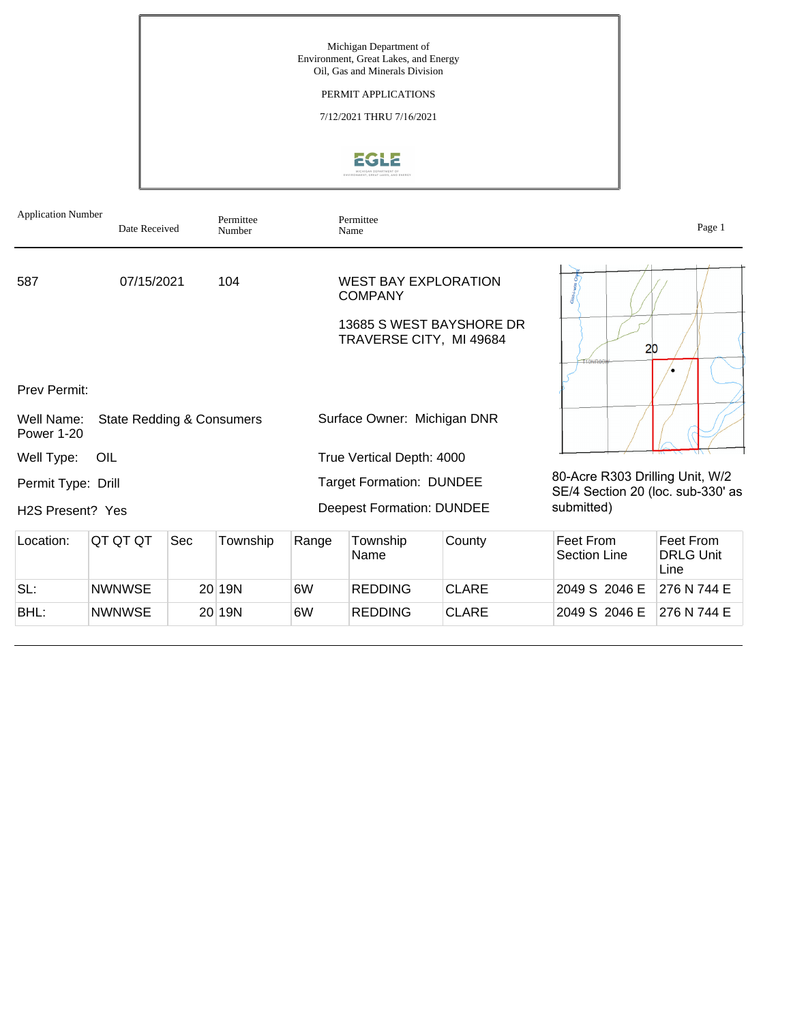# PERMIT APPLICATIONS

7/12/2021 THRU 7/16/2021



| <b>Application Number</b>       | Date Received                        |     | Permittee<br>Number |       | Permittee<br>Name                                                                                    |              |                                                                      | Page 1                                |
|---------------------------------|--------------------------------------|-----|---------------------|-------|------------------------------------------------------------------------------------------------------|--------------|----------------------------------------------------------------------|---------------------------------------|
| 587                             | 07/15/2021                           |     | 104                 |       | <b>WEST BAY EXPLORATION</b><br><b>COMPANY</b><br>13685 S WEST BAYSHORE DR<br>TRAVERSE CITY, MI 49684 |              | 20                                                                   |                                       |
| <b>Prev Permit:</b>             |                                      |     |                     |       |                                                                                                      |              |                                                                      |                                       |
| Well Name:<br><b>Power 1-20</b> | <b>State Redding &amp; Consumers</b> |     |                     |       | Surface Owner: Michigan DNR                                                                          |              |                                                                      |                                       |
| Well Type:                      | OIL                                  |     |                     |       | True Vertical Depth: 4000                                                                            |              |                                                                      |                                       |
| Permit Type: Drill              |                                      |     |                     |       | <b>Target Formation: DUNDEE</b>                                                                      |              | 80-Acre R303 Drilling Unit, W/2<br>SE/4 Section 20 (loc. sub-330' as |                                       |
| H <sub>2</sub> S Present? Yes   |                                      |     |                     |       | <b>Deepest Formation: DUNDEE</b>                                                                     |              | submitted)                                                           |                                       |
| Location:                       | QT QT QT                             | Sec | Township            | Range | Township<br>Name                                                                                     | County       | Feet From<br><b>Section Line</b>                                     | Feet From<br><b>DRLG Unit</b><br>Line |
| SL:                             | <b>NWNWSE</b>                        |     | 20 19N              | 6W    | <b>REDDING</b>                                                                                       | <b>CLARE</b> | 2049 S 2046 E                                                        | 276 N 744 E                           |

BHL: NWNWSE 20 19N 6W REDDING CLARE 2049 S 2046 E 276 N 744 E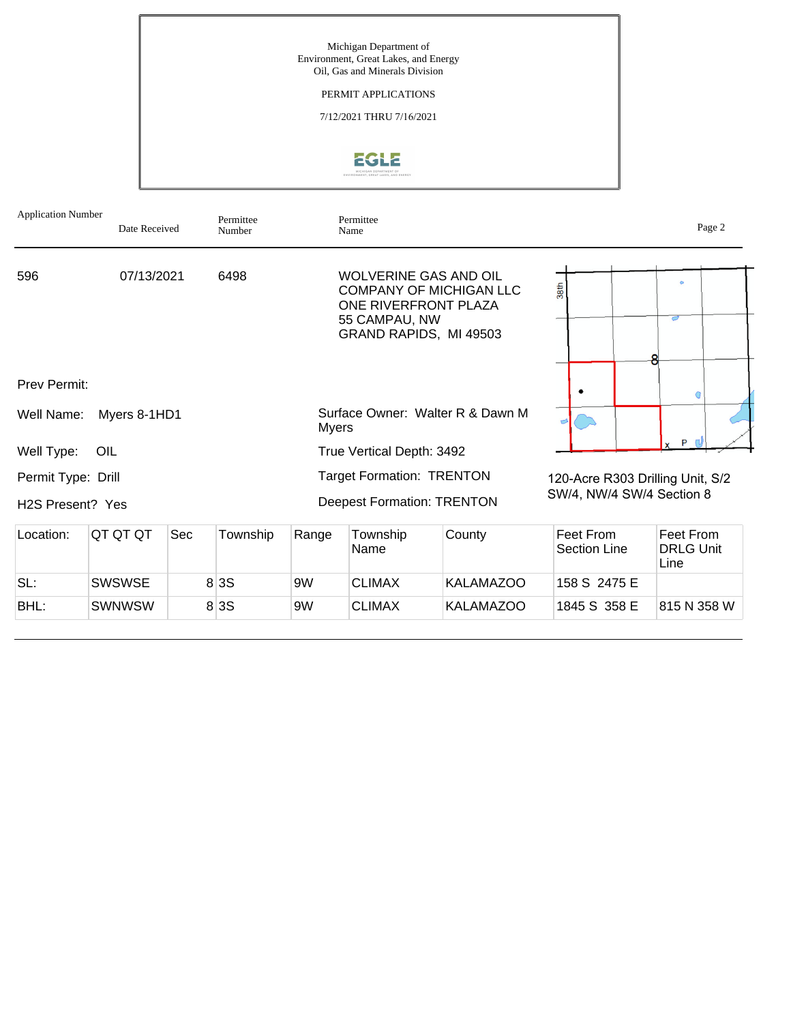

| <b>Application Number</b>                           | Date Received |            | Permittee<br>Number |              | Permittee<br>Name                                                                               |                                  |                                  | Page 2                                |
|-----------------------------------------------------|---------------|------------|---------------------|--------------|-------------------------------------------------------------------------------------------------|----------------------------------|----------------------------------|---------------------------------------|
| 596                                                 | 07/13/2021    |            | 6498                |              | <b>WOLVERINE GAS AND OIL</b><br>ONE RIVERFRONT PLAZA<br>55 CAMPAU, NW<br>GRAND RAPIDS, MI 49503 | <b>COMPANY OF MICHIGAN LLC</b>   | 38th                             | $\circ$<br>$\sigma$                   |
| Prev Permit:                                        |               |            |                     |              |                                                                                                 |                                  |                                  |                                       |
| Well Name:                                          | Myers 8-1HD1  |            |                     | <b>Myers</b> |                                                                                                 | Surface Owner: Walter R & Dawn M |                                  |                                       |
| Well Type:                                          | OIL           |            |                     |              | True Vertical Depth: 3492                                                                       |                                  |                                  | P                                     |
| Permit Type: Drill<br>H <sub>2</sub> S Present? Yes |               |            |                     |              | <b>Target Formation: TRENTON</b><br><b>Deepest Formation: TRENTON</b>                           |                                  | SW/4, NW/4 SW/4 Section 8        | 120-Acre R303 Drilling Unit, S/2      |
| Location:                                           | QT QT QT      | <b>Sec</b> | Township            | Range        | Township<br>Name                                                                                | County                           | Feet From<br><b>Section Line</b> | Feet From<br><b>DRLG Unit</b><br>Line |
| SL:                                                 | <b>SWSWSE</b> |            | 8 3 S               | 9W           | <b>CLIMAX</b>                                                                                   | <b>KALAMAZOO</b>                 | 158 S 2475 E                     |                                       |

BHL: SWNWSW 8 3S 9W CLIMAX KALAMAZOO 1845 S 358 E 815 N 358 W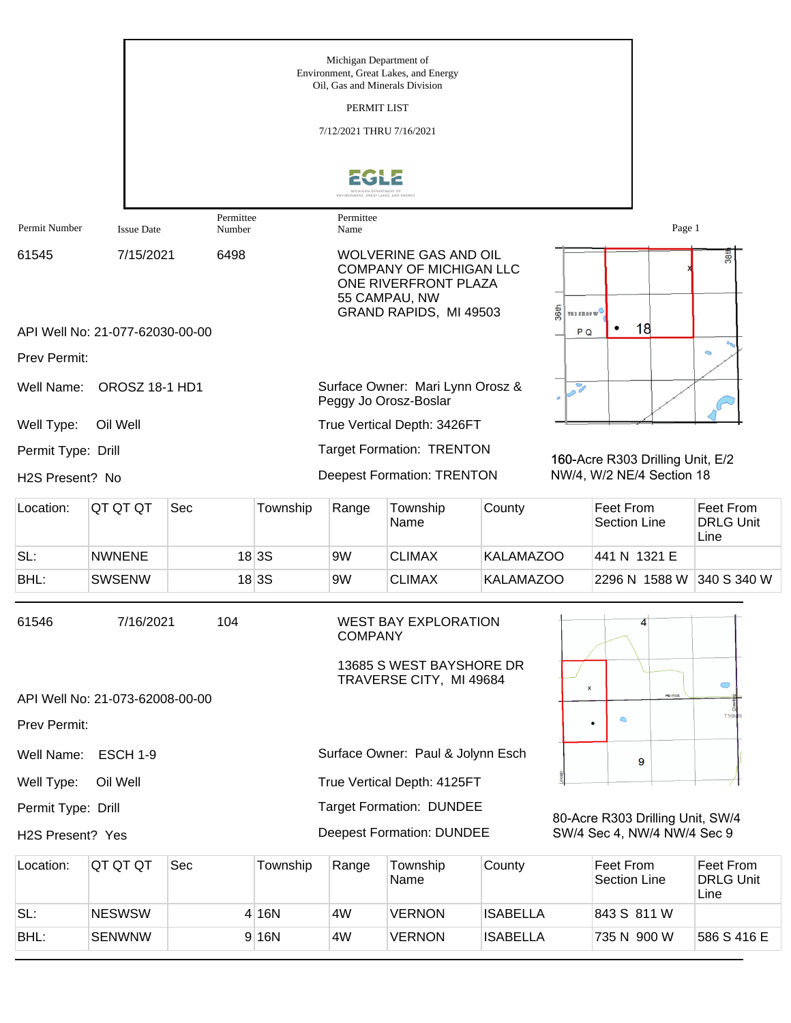|                              |                                 |                     |          | Michigan Department of<br>Oil. Gas and Minerals Division | Environment, Great Lakes, and Energy                                                                                              |                  |                       |                                  |                                  |                                       |
|------------------------------|---------------------------------|---------------------|----------|----------------------------------------------------------|-----------------------------------------------------------------------------------------------------------------------------------|------------------|-----------------------|----------------------------------|----------------------------------|---------------------------------------|
|                              |                                 |                     |          | PERMIT LIST                                              |                                                                                                                                   |                  |                       |                                  |                                  |                                       |
|                              |                                 |                     |          | 7/12/2021 THRU 7/16/2021                                 |                                                                                                                                   |                  |                       |                                  |                                  |                                       |
|                              |                                 |                     |          | MICHIGAN DEPARTMENT OF                                   |                                                                                                                                   |                  |                       |                                  |                                  |                                       |
| Permit Number                | <b>Issue Date</b>               | Permittee<br>Number |          | Permittee<br>Name                                        |                                                                                                                                   |                  |                       |                                  | Page 1                           |                                       |
| 61545                        | 7/15/2021                       | 6498                |          |                                                          | <b>WOLVERINE GAS AND OIL</b><br><b>COMPANY OF MICHIGAN LLC</b><br>ONE RIVERFRONT PLAZA<br>55 CAMPAU, NW<br>GRAND RAPIDS, MI 49503 |                  | 36th<br>TO 3 SEOP W   |                                  |                                  | 38 <sup>tl</sup>                      |
|                              | API Well No: 21-077-62030-00-00 |                     |          |                                                          |                                                                                                                                   |                  | P <sub>Q</sub>        |                                  | 18                               |                                       |
| Prev Permit:                 |                                 |                     |          |                                                          |                                                                                                                                   |                  |                       |                                  |                                  |                                       |
| Well Name:                   | <b>OROSZ 18-1 HD1</b>           |                     |          |                                                          | Surface Owner: Mari Lynn Orosz &<br>Peggy Jo Orosz-Boslar                                                                         |                  | $\tilde{\mathscr{S}}$ |                                  |                                  |                                       |
| Well Type:                   | Oil Well                        |                     |          |                                                          | True Vertical Depth: 3426FT                                                                                                       |                  |                       |                                  |                                  |                                       |
| Permit Type: Drill           |                                 |                     |          |                                                          | <b>Target Formation: TRENTON</b>                                                                                                  |                  |                       |                                  | 160-Acre R303 Drilling Unit, E/2 |                                       |
| H <sub>2</sub> S Present? No |                                 |                     |          |                                                          | <b>Deepest Formation: TRENTON</b>                                                                                                 |                  |                       |                                  | NW/4, W/2 NE/4 Section 18        |                                       |
| Location:                    | QT QT QT                        | Sec                 | Township | Range                                                    | Township<br>Name                                                                                                                  | County           |                       | Feet From<br><b>Section Line</b> |                                  | Feet From<br><b>DRLG Unit</b><br>Line |
| SL:                          | <b>NWNENE</b>                   |                     | 18 3S    | 9W                                                       | <b>CLIMAX</b>                                                                                                                     | <b>KALAMAZOO</b> |                       | 441 N 1321 E                     |                                  |                                       |
| BHL:                         | <b>SWSENW</b>                   |                     | 18 3S    | 9W                                                       | <b>CLIMAX</b>                                                                                                                     | <b>KALAMAZOO</b> |                       |                                  | 2296 N 1588 W                    | 340 S 340 W                           |
| 61546                        | 7/16/2021                       | 104                 |          | <b>COMPANY</b>                                           | <b>WEST BAY EXPLORATION</b><br>13685 S WEST BAYSHORE DR<br>TRAVERSE CITY, MI 49684                                                |                  |                       |                                  | 4                                |                                       |
|                              | API Well No: 21-073-62008-00-00 |                     |          |                                                          |                                                                                                                                   |                  | $\pmb{\times}$        |                                  | He mick                          | $\circ$                               |
| Prev Permit:                 |                                 |                     |          |                                                          |                                                                                                                                   |                  |                       | $\circ$<br>$\bullet$             |                                  | <b>T16N</b>                           |
| Well Name:                   | <b>ESCH 1-9</b>                 |                     |          |                                                          | Surface Owner: Paul & Jolynn Esch                                                                                                 |                  |                       |                                  | 9                                |                                       |
| Well Type:                   | Oil Well                        |                     |          |                                                          | True Vertical Depth: 4125FT                                                                                                       |                  |                       |                                  |                                  |                                       |
| Permit Type: Drill           |                                 |                     |          |                                                          | <b>Target Formation: DUNDEE</b>                                                                                                   |                  |                       |                                  | 80-Acre R303 Drilling Unit, SW/4 |                                       |
| H2S Present? Yes             |                                 |                     |          |                                                          | <b>Deepest Formation: DUNDEE</b>                                                                                                  |                  |                       |                                  | SW/4 Sec 4, NW/4 NW/4 Sec 9      |                                       |
| Location:                    | QT QT QT                        | Sec                 | Township | Range                                                    | Township<br>Name                                                                                                                  | County           |                       | Feet From<br><b>Section Line</b> |                                  | Feet From<br><b>DRLG Unit</b><br>Line |
| SL:                          | <b>NESWSW</b>                   |                     | 4 16N    | 4W                                                       | <b>VERNON</b>                                                                                                                     | <b>ISABELLA</b>  |                       | 843 S 811 W                      |                                  |                                       |
| BHL:                         | <b>SENWNW</b>                   |                     | 9 16N    | 4W                                                       | <b>VERNON</b>                                                                                                                     | <b>ISABELLA</b>  |                       | 735 N 900 W                      |                                  | 586 S 416 E                           |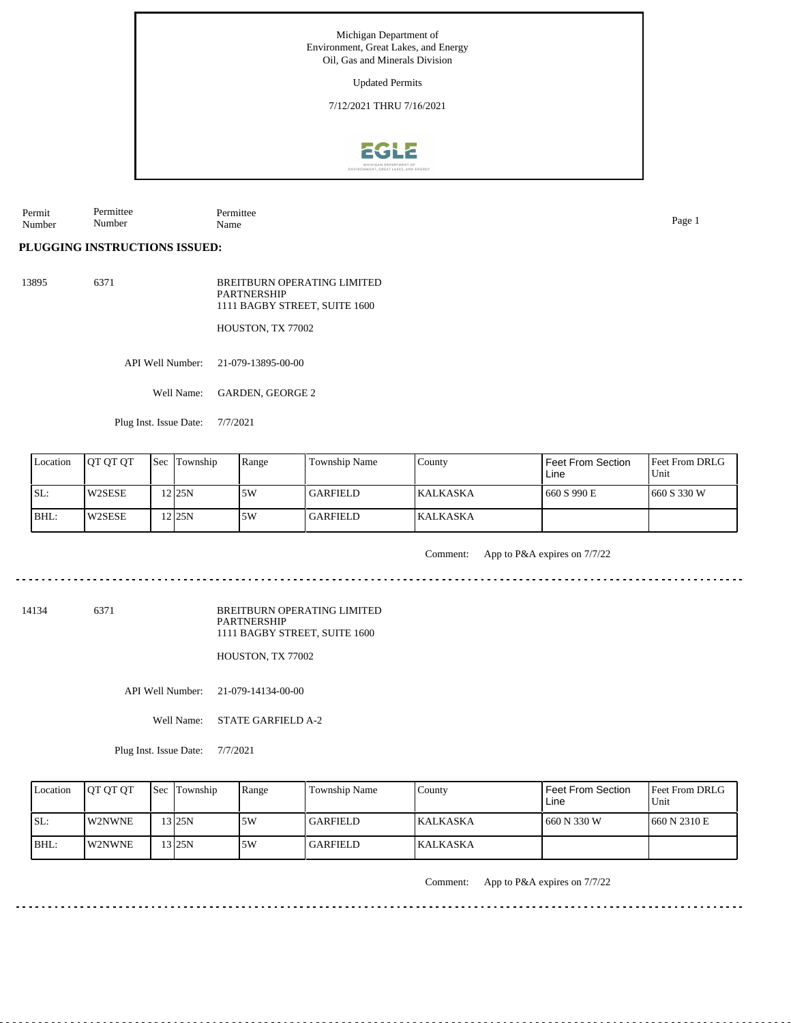Michigan Department of Environment, Great Lakes, and Energy Oil, Gas and Minerals Division Updated Permits 7/12/2021 THRU 7/16/2021**EGLE** 

Permit Number Permittee Number Permittee Name Page 1

## **PLUGGING INSTRUCTIONS ISSUED:**

13895 6371 BREITBURN OPERATING LIMITED PARTNERSHIP 1111 BAGBY STREET, SUITE 1600

HOUSTON, TX 77002

API Well Number: 21-079-13895-00-00

Well Name: GARDEN, GEORGE 2

Plug Inst. Issue Date: 7/7/2021

| Location | <b>IOT OT OT</b> | <b>Sec Township</b> | Range | Township Name   | County           | I Feet From Section<br>Line | <b>Feet From DRLG</b><br>l Unit |
|----------|------------------|---------------------|-------|-----------------|------------------|-----------------------------|---------------------------------|
| ISL:     | <b>W2SESE</b>    | 12 <sub>125N</sub>  | ا 5W  | <b>GARFIELD</b> | <b>IKALKASKA</b> | 660 S 990 E                 | 1660 S 330 W                    |
| BHL:     | W2SESE           | 12125N              | 5W    | <b>GARFIELD</b> | <b>KALKASKA</b>  |                             |                                 |

Comment: App to P&A expires on 7/7/22

14134 6371

BREITBURN OPERATING LIMITED PARTNERSHIP 1111 BAGBY STREET, SUITE 1600

HOUSTON, TX 77002

API Well Number: 21-079-14134-00-00

Well Name: STATE GARFIELD A-2

Plug Inst. Issue Date: 7/7/2021

| Location | <b>OT OT OT</b> | <b>Sec</b> Township | Range | <b>Township Name</b> | Countv          | Feet From Section<br>Line | <b>IFeet From DRLG</b><br>Unit |
|----------|-----------------|---------------------|-------|----------------------|-----------------|---------------------------|--------------------------------|
| SL:      | <b>IW2NWNE</b>  | 3 25N               | 5W    | <b>GARFIELD</b>      | <b>KALKASKA</b> | 660 N 330 W               | 1660 N 2310 E                  |
| $IBHL$ : | <b>IW2NWNE</b>  | $3$ 25N             | 5W    | GARFIELD_            | <b>KALKASKA</b> |                           |                                |

Comment: App to P&A expires on 7/7/22

in die die die die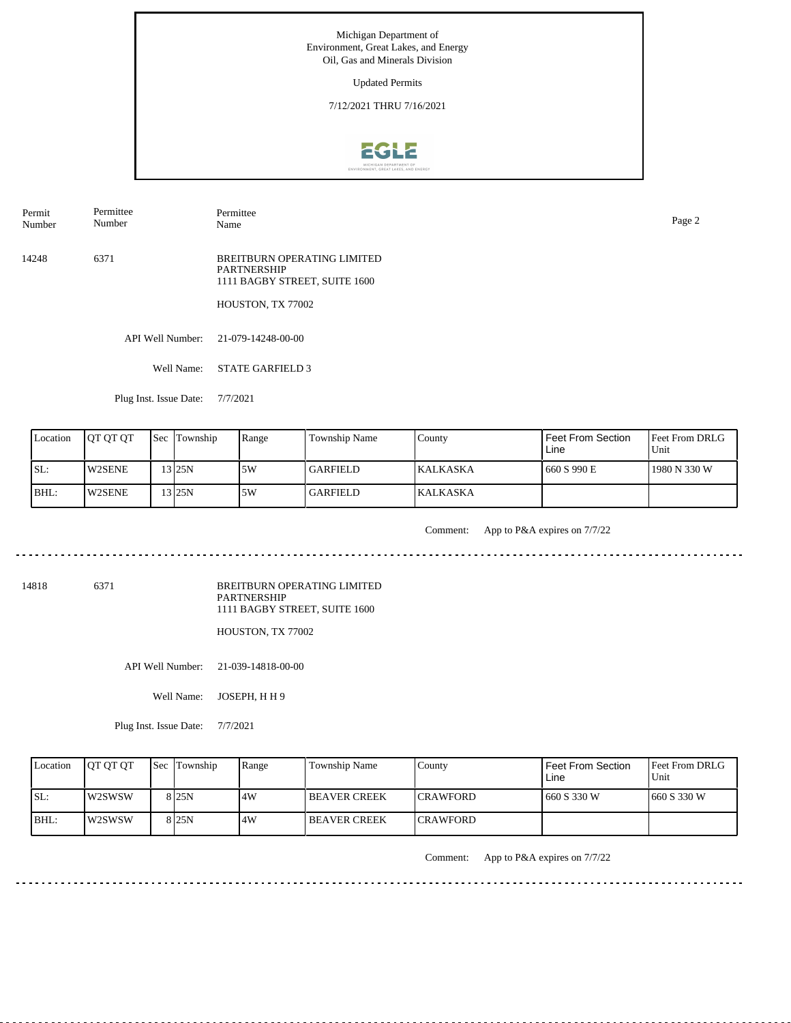Updated Permits

7/12/2021 THRU 7/16/2021



Permit Number Permittee Number

Permittee

14248 6371 BREITBURN OPERATING LIMITED PARTNERSHIP 1111 BAGBY STREET, SUITE 1600

HOUSTON, TX 77002

API Well Number: 21-079-14248-00-00

Well Name: STATE GARFIELD 3

Plug Inst. Issue Date: 7/7/2021

| Location | <b>OT OT OT</b> | <b>Sec</b> Township | Range | Township Name   | County           | Feet From Section<br>Line | Feet From DRLG<br>Unit |
|----------|-----------------|---------------------|-------|-----------------|------------------|---------------------------|------------------------|
| ISL:     | <b>W2SENE</b>   | $13$ 25N            | .5W   | <b>GARFIELD</b> | <b>IKALKASKA</b> | 660 S 990 E               | 1980 N 330 W           |
| BHL:     | <b>W2SENE</b>   | 13 25 N             | ا 5W  | <b>GARFIELD</b> | <b>IKALKASKA</b> |                           |                        |

<u>. . . . . . . .</u>

Comment: App to P&A expires on 7/7/22

14818 6371

BREITBURN OPERATING LIMITED PARTNERSHIP 1111 BAGBY STREET, SUITE 1600

HOUSTON, TX 77002

API Well Number: 21-039-14818-00-00

Well Name: JOSEPH, H H 9

Plug Inst. Issue Date: 7/7/2021

| Location | <b>OT OT OT</b> | <b>Sec</b> Township | Range | Township Name       | County           | Feet From Section<br>Line | Feet From DRLG<br>Unit |
|----------|-----------------|---------------------|-------|---------------------|------------------|---------------------------|------------------------|
| ISL:     | <b>IW2SWSW</b>  | 8 <sub>125N</sub>   | .4W   | <b>BEAVER CREEK</b> | <b>ICRAWFORD</b> | 1660 S 330 W              | 1660 S 330 W           |
| BHL:     | <b>IW2SWSW</b>  | 8125N               | 4W    | I BEAVER CREEK      | <b>ICRAWFORD</b> |                           |                        |

Comment: App to P&A expires on 7/7/22

Name Page 2

<u>. . . . . . . .</u>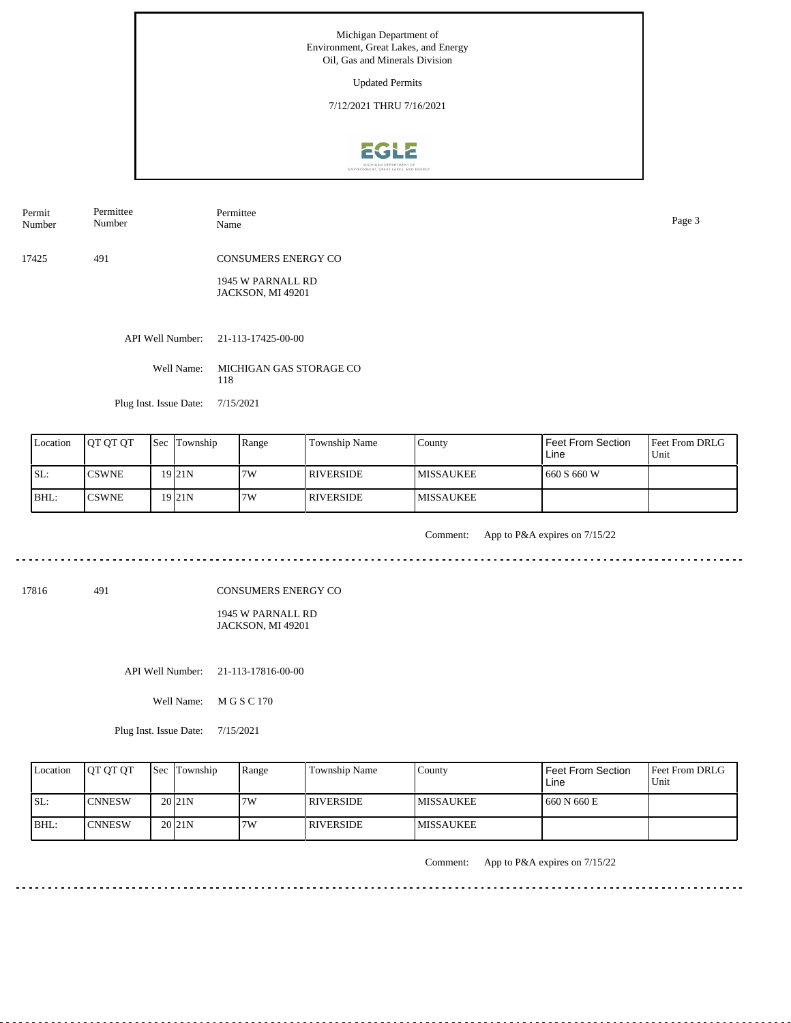Updated Permits

7/12/2021 THRU 7/16/2021



Permit Number Permittee Number

Permittee Name Page 3

17425 491 CONSUMERS ENERGY CO

> 1945 W PARNALL RD JACKSON, MI 49201

API Well Number: 21-113-17425-00-00

Well Name: MICHIGAN GAS STORAGE CO 118

Plug Inst. Issue Date: 7/15/2021

. . . . . . .

| Location | <b>IOT OT OT</b> | Sec | Township  | Range | Township Name | County            | <b>Feet From Section</b><br>Line | <b>Feet From DRLG</b><br>Unit |
|----------|------------------|-----|-----------|-------|---------------|-------------------|----------------------------------|-------------------------------|
| SL:      | <b>CSWNE</b>     |     | 19 I 21 N | 7W    | I RIVERSIDE.  | <b>IMISSAUKEE</b> | 660 S 660 W                      |                               |
| BHL:     | <b>CSWNE</b>     |     | 19 I 21 N | 7W    | I RIVERSIDE   | <b>IMISSAUKEE</b> |                                  |                               |

Comment: App to P&A expires on 7/15/22

17816 491

CONSUMERS ENERGY CO

1945 W PARNALL RD JACKSON, MI 49201

API Well Number: 21-113-17816-00-00

Well Name: M G S C 170

Plug Inst. Issue Date: 7/15/2021

| Location | <b>OT OT OT</b> | <b>Sec</b> Township | Range | <b>Township Name</b> | Countv            | <b>Feet From Section</b><br>Line | <b>Feet From DRLG</b><br>Unit |
|----------|-----------------|---------------------|-------|----------------------|-------------------|----------------------------------|-------------------------------|
| ISL:     | <b>ICNNESW</b>  | 20 <sub>21N</sub>   | 7W    | I RIVERSIDE.         | IMISSAUKEE        | 660 N 660 E                      |                               |
| BHL:     | <b>ICNNESW</b>  | 20 <sub>121</sub> N | 7W    | I RIVERSIDE          | <b>IMISSAUKEE</b> |                                  |                               |

Comment: App to P&A expires on 7/15/22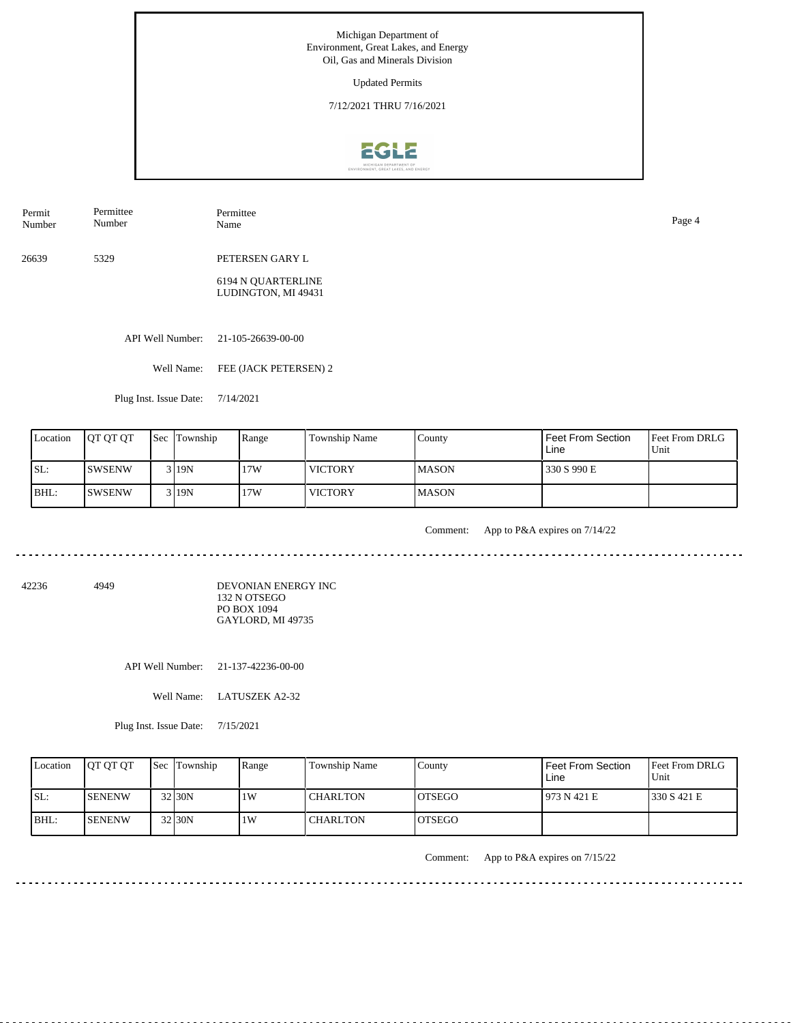Updated Permits

7/12/2021 THRU 7/16/2021



Permit Number Permittee Number Permittee Name Page 4

26639 5329 PETERSEN GARY L

> 6194 N QUARTERLINE LUDINGTON, MI 49431

API Well Number: 21-105-26639-00-00

Well Name: FEE (JACK PETERSEN) 2

Plug Inst. Issue Date: 7/14/2021

| Location | <b>OT OT OT</b> | <b>Sec</b> Township | Range | Township Name  | County        | Feet From Section<br>Line | Feet From DRLG<br>Unit |
|----------|-----------------|---------------------|-------|----------------|---------------|---------------------------|------------------------|
| SL:      | <b>ISWSENW</b>  | 3119N               | 17W   | <b>VICTORY</b> | <b>IMASON</b> | 330 S 990 E               |                        |
| BHL:     | <b>SWSENW</b>   | 3 19N               | 17W   | <b>VICTORY</b> | <b>IMASON</b> |                           |                        |

<u>. . . . . . . . . . . .</u>

Comment: App to P&A expires on 7/14/22

42236 4949

DEVONIAN ENERGY INC 132 N OTSEGO PO BOX 1094 GAYLORD, MI 49735

API Well Number: 21-137-42236-00-00

Well Name: LATUSZEK A2-32

Plug Inst. Issue Date: 7/15/2021

| Location | <b>OT OT OT</b> | <b>Sec Township</b> | Range | Township Name   | County         | Feet From Section<br>Line | <b>Feet From DRLG</b><br>Unit |
|----------|-----------------|---------------------|-------|-----------------|----------------|---------------------------|-------------------------------|
| ISL:     | <b>ISENENW</b>  | 32 30N              | 1 W   | <b>CHARLTON</b> | IOTSEGO        | 1973 N 421 E              | 1330 S 421 E                  |
| BHL:     | <b>ISENENW</b>  | 32 30N              | 1 W   | CHARLTON        | <b>IOTSEGO</b> |                           |                               |

Comment: App to P&A expires on 7/15/22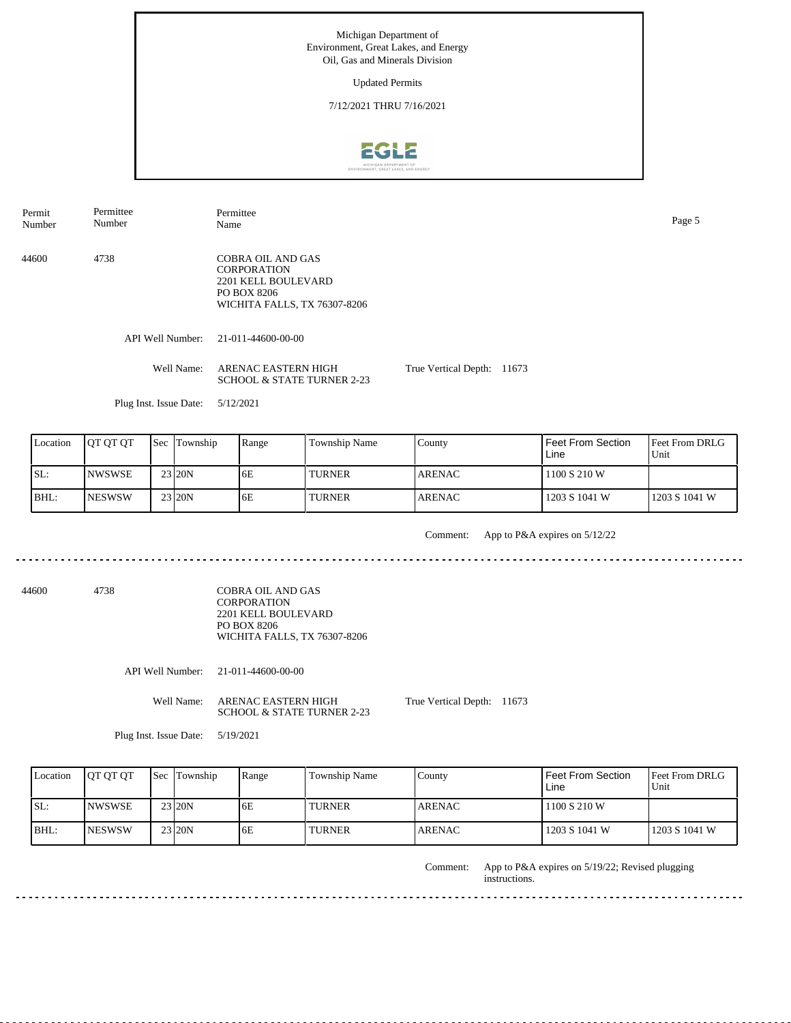Updated Permits

7/12/2021 THRU 7/16/2021



API Well Number: 21-011-44600-00-00 Well Name: ARENAC EASTERN HIGH SCHOOL & STATE TURNER 2-23 Plug Inst. Issue Date: 5/12/2021 True Vertical Depth: 11673 44600 4738 COBRA OIL AND GAS **CORPORATION** 2201 KELL BOULEVARD PO BOX 8206 WICHITA FALLS, TX 76307-8206 Permit Number Permittee Number Permittee Name Page 5

| Location | <b>JOT OT OT</b> | <b>Sec</b> Township | Range | <b>Township Name</b> | County         | l Feet From Section<br>Line | <b>Feet From DRLG</b><br>Unit |
|----------|------------------|---------------------|-------|----------------------|----------------|-----------------------------|-------------------------------|
| SL:      | <b>NWSWSE</b>    | 23 20N              | 6E    | <b>TURNER</b>        | <b>LARENAC</b> | 1100 S 210 W                |                               |
| BHL:     | <b>NESWSW</b>    | 23 20N              | 6E    | <b>TURNER</b>        | <b>ARENAC</b>  | 1203 S 1041 W               | 1203 S 1041 W                 |

Comment: App to P&A expires on 5/12/22 

44600 4738 COBRA OIL AND GAS CORPORATION 2201 KELL BOULEVARD PO BOX 8206 WICHITA FALLS, TX 76307-8206

API Well Number: 21-011-44600-00-00

Well Name: ARENAC EASTERN HIGH SCHOOL & STATE TURNER 2-23 True Vertical Depth: 11673

Plug Inst. Issue Date: 5/19/2021

| Location | <b>JOT OT OT</b> | Sec Township | Range | Township Name | Countv        | Feet From Section<br>Line | Feet From DRLG<br>Unit |
|----------|------------------|--------------|-------|---------------|---------------|---------------------------|------------------------|
| SL:      | INWSWSE          | 23 20N       | 6E    | <b>TURNER</b> | <b>ARENAC</b> | 1100 S 210 W              |                        |
| BHL      | <b>INESWSW</b>   | 23 20N       | 6E    | <b>TURNER</b> | <b>ARENAC</b> | 1203 S 1041 W             | 1203 S 1041 W          |

App to P&A expires on 5/19/22; Revised plugging instructions. Comment: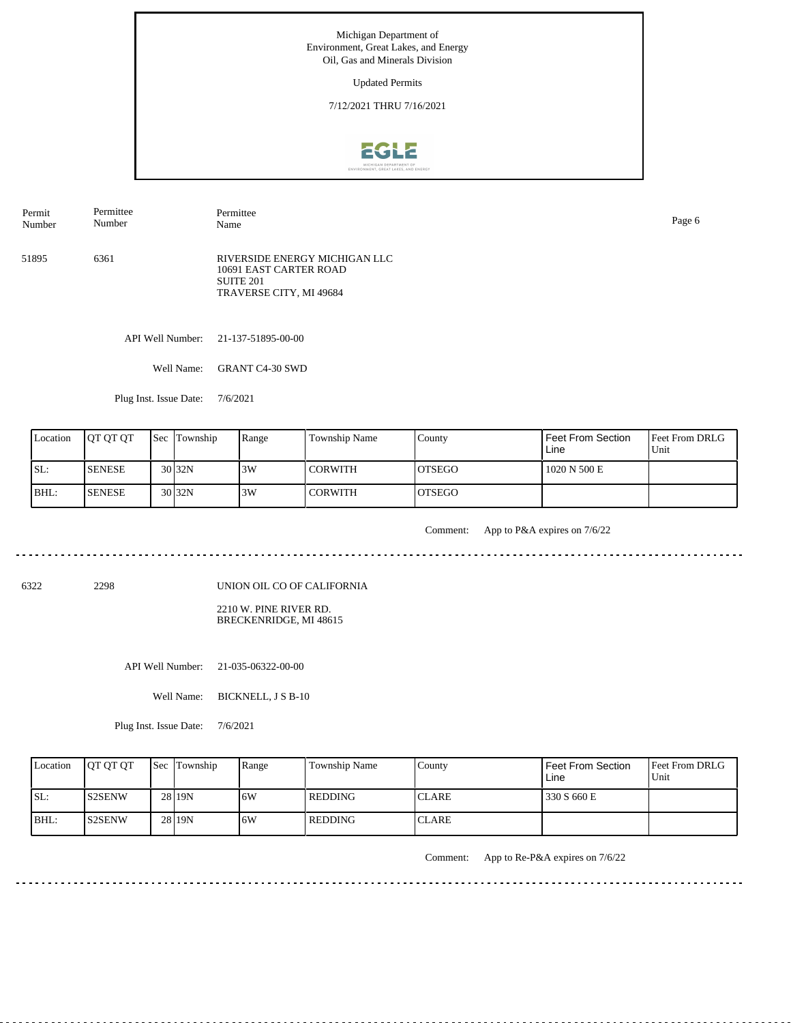Updated Permits

7/12/2021 THRU 7/16/2021



Name Page 6

Permit Number Permittee Number

51895 6361 RIVERSIDE ENERGY MICHIGAN LLC 10691 EAST CARTER ROAD SUITE 201

Permittee

API Well Number: 21-137-51895-00-00

Well Name: GRANT C4-30 SWD

Plug Inst. Issue Date: 7/6/2021

| Location | <b>OT OT OT</b> | <b>Sec Township</b> | Range | Township Name  | County         | Feet From Section<br>Line | <b>Feet From DRLG</b><br>Unit |
|----------|-----------------|---------------------|-------|----------------|----------------|---------------------------|-------------------------------|
| SL:      | <b>ISENESE</b>  | $30\overline{)32N}$ | 3W    | <b>CORWITH</b> | IOTSEGO        | 1020 N 500 E              |                               |
| BHL:     | <b>ISENESE</b>  | $30\overline{)32N}$ | 3W    | <b>CORWITH</b> | <b>IOTSEGO</b> |                           |                               |

<u>. . . . . . .</u>

Comment: App to P&A expires on 7/6/22

المالون المالون المالون المالي

6322 2298

UNION OIL CO OF CALIFORNIA

TRAVERSE CITY, MI 49684

2210 W. PINE RIVER RD. BRECKENRIDGE, MI 48615

API Well Number: 21-035-06322-00-00

Well Name: BICKNELL, J S B-10

Plug Inst. Issue Date: 7/6/2021

|       | Location | <b>IOT OT OT</b> | <b>Sec Township</b> | Range | Township Name | County       | l Feet From Section<br>Line | <b>Feet From DRLG</b><br>Unit |
|-------|----------|------------------|---------------------|-------|---------------|--------------|-----------------------------|-------------------------------|
| SL:   |          | IS2SENW          | 28 19N              | 6W    | l REDDING     | <b>CLARE</b> | 330 S 660 E                 |                               |
| IBHL: |          | <b>S2SENW</b>    | 28 19N              | 6W    | l REDDING     | <b>CLARE</b> |                             |                               |

Comment: App to Re-P&A expires on 7/6/22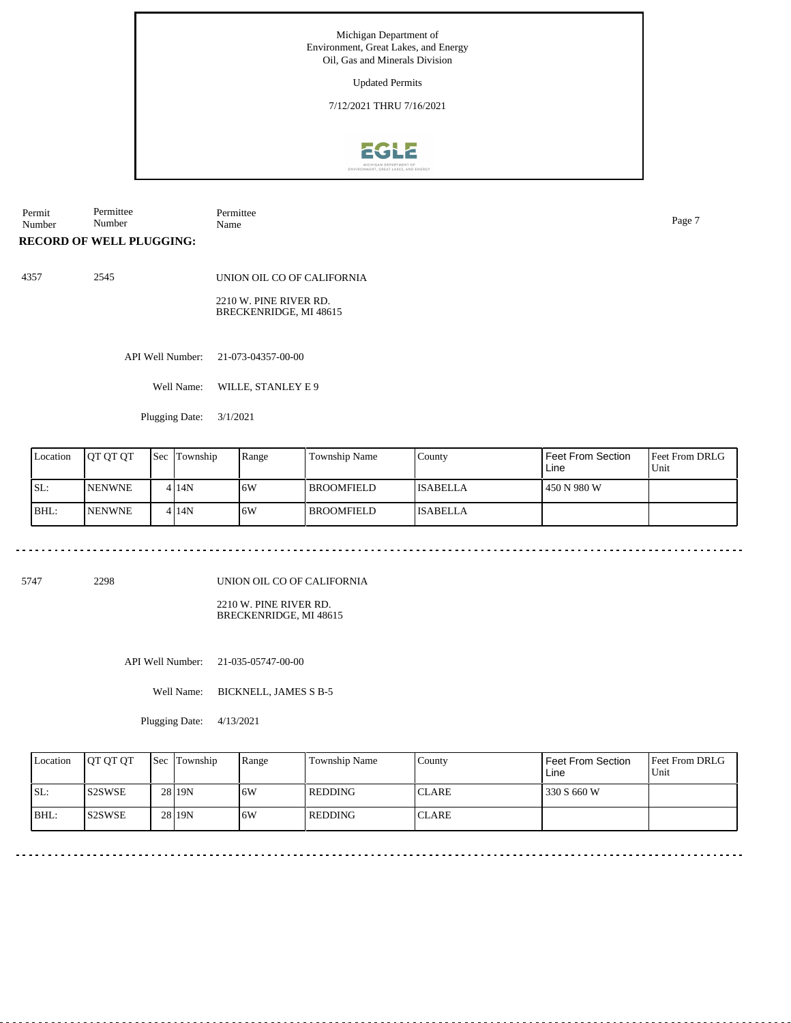Updated Permits

7/12/2021 THRU 7/16/2021



Permit Number Permittee Number Permittee Name Page 7

#### **RECORD OF WELL PLUGGING:**

4357 2545 UNION OIL CO OF CALIFORNIA 2210 W. PINE RIVER RD.

BRECKENRIDGE, MI 48615

API Well Number: 21-073-04357-00-00

Well Name: WILLE, STANLEY E 9

Plugging Date: 3/1/2021

| Location | <b>OT OT OT</b> | l Sec | Township | Range | Township Name     | County          | Feet From Section<br>Line | <b>Feet From DRLG</b><br>Unit |
|----------|-----------------|-------|----------|-------|-------------------|-----------------|---------------------------|-------------------------------|
| SL:      | <b>INENWNE</b>  |       | 4 14N    | 16W   | <b>BROOMFIELD</b> | <b>ISABELLA</b> | 450 N 980 W               |                               |
| BHL:     | <b>INENWNE</b>  |       | 4 14N    | 16W   | <b>BROOMFIELD</b> | <b>ISABELLA</b> |                           |                               |

5747 2298

UNION OIL CO OF CALIFORNIA

2210 W. PINE RIVER RD. BRECKENRIDGE, MI 48615

API Well Number: 21-035-05747-00-00

Well Name: BICKNELL, JAMES S B-5

Plugging Date: 4/13/2021

|      | Location | <b>OT OT OT</b> | <b>Sec</b> Township | Range | <b>Township Name</b> | County        | <b>Feet From Section</b><br>Line | <b>Feet From DRLG</b><br>Unit |
|------|----------|-----------------|---------------------|-------|----------------------|---------------|----------------------------------|-------------------------------|
| SL:  |          | <b>S2SWSE</b>   | 28 19N              | 6W    | l REDDING            | <b>ICLARE</b> | 330 S 660 W                      |                               |
| BHL: |          | IS2SWSE         | 28 19N              | 6W    | l REDDING            | <b>CLARE</b>  |                                  |                               |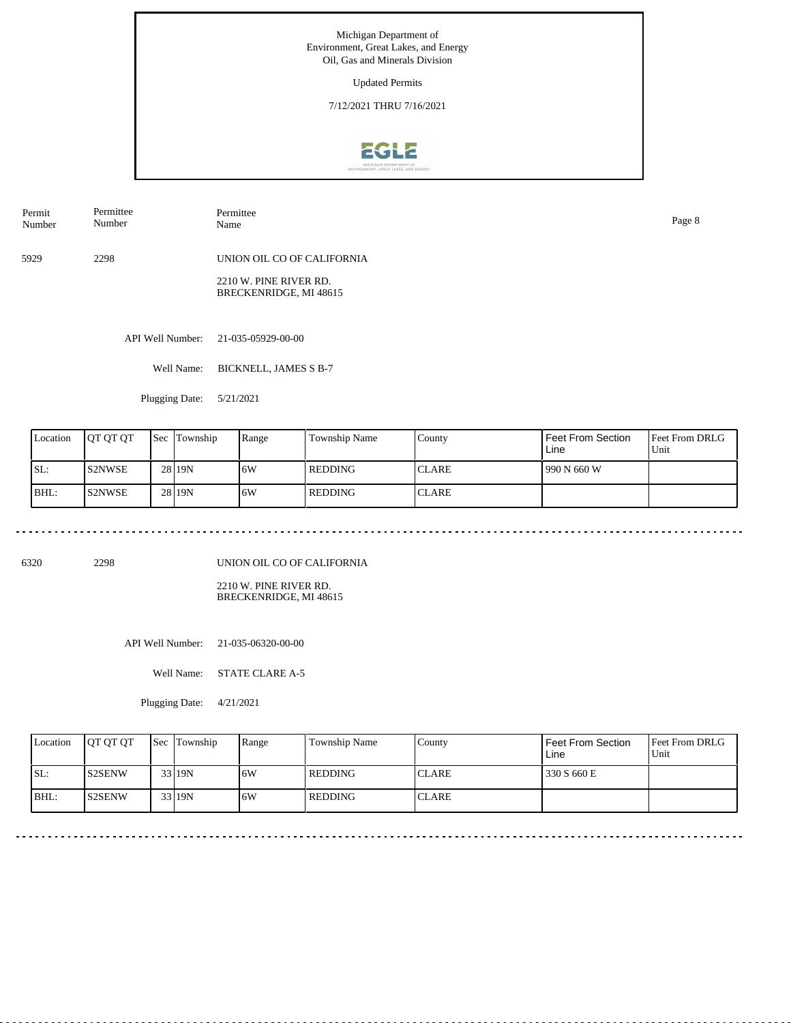Updated Permits

7/12/2021 THRU 7/16/2021



Permittee

Number

Permittee Name Page 8

5929 2298 UNION OIL CO OF CALIFORNIA

> 2210 W. PINE RIVER RD. BRECKENRIDGE, MI 48615

API Well Number: 21-035-05929-00-00

Well Name: BICKNELL, JAMES S B-7

Plugging Date: 5/21/2021

| Location | IOT OT OT     | Sec | Township | Range | Township Name | County       | <b>Feet From Section</b><br>Line | <b>Feet From DRLG</b><br>Unit |
|----------|---------------|-----|----------|-------|---------------|--------------|----------------------------------|-------------------------------|
| SL:      | <b>S2NWSE</b> |     | 28 19N   | 16W   | l REDDING     | <b>CLARE</b> | 990 N 660 W                      |                               |
| BHL:     | <b>S2NWSE</b> |     | 28 19N   | 16W   | l REDDING     | <b>CLARE</b> |                                  |                               |

6320 2298

Permit Number

UNION OIL CO OF CALIFORNIA

2210 W. PINE RIVER RD. BRECKENRIDGE, MI 48615

API Well Number: 21-035-06320-00-00

Well Name: STATE CLARE A-5

Plugging Date: 4/21/2021

| Location | <b>OT OT OT</b> | <b>Sec Township</b> | Range | Township Name | Countv        | Feet From Section<br>Line | <b>Feet From DRLG</b><br>Unit |
|----------|-----------------|---------------------|-------|---------------|---------------|---------------------------|-------------------------------|
| ISL:     | <b>S2SENW</b>   | $33$ 19N            | .6W   | l REDDING     | <b>ICLARE</b> | 330 S 660 E               |                               |
| BHL:     | IS2SENW         | $33$ 19N            | .6W   | l REDDING     | <b>ICLARE</b> |                           |                               |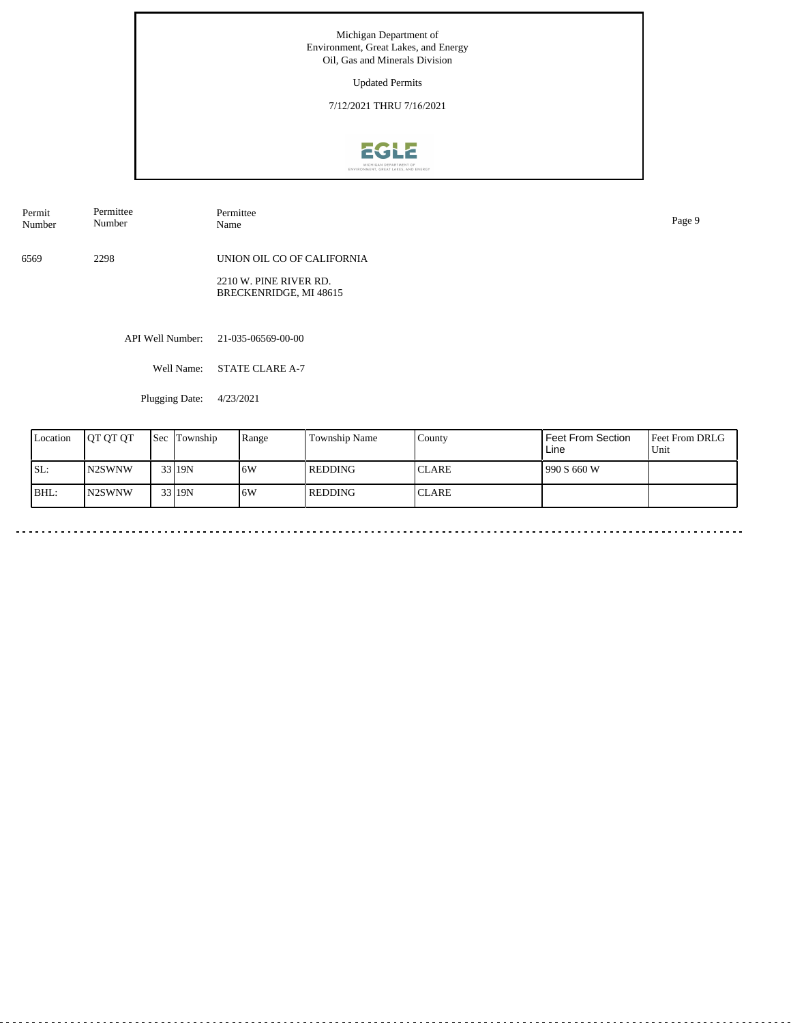Updated Permits

7/12/2021 THRU 7/16/2021



API Well Number: 21-035-06569-00-00 6569 2298 UNION OIL CO OF CALIFORNIA 2210 W. PINE RIVER RD. BRECKENRIDGE, MI 48615 Permit Number Permittee Number Permittee<br>Name Name Page 9

Well Name: STATE CLARE A-7

Plugging Date: 4/23/2021

| Location | <b>JOT OT OT</b> | <b>Sec Township</b> | Range | <b>Township Name</b> | County        | Feet From Section<br>Line | <b>Feet From DRLG</b><br>Unit |
|----------|------------------|---------------------|-------|----------------------|---------------|---------------------------|-------------------------------|
| SL:      | IN2SWNW          | 33 19N              | 16W   | <b>REDDING</b>       | <b>ICLARE</b> | 990 S 660 W               |                               |
| BHL:     | <b>IN2SWNW</b>   | 33119N              | 16W   | l REDDING            | <b>CLARE</b>  |                           |                               |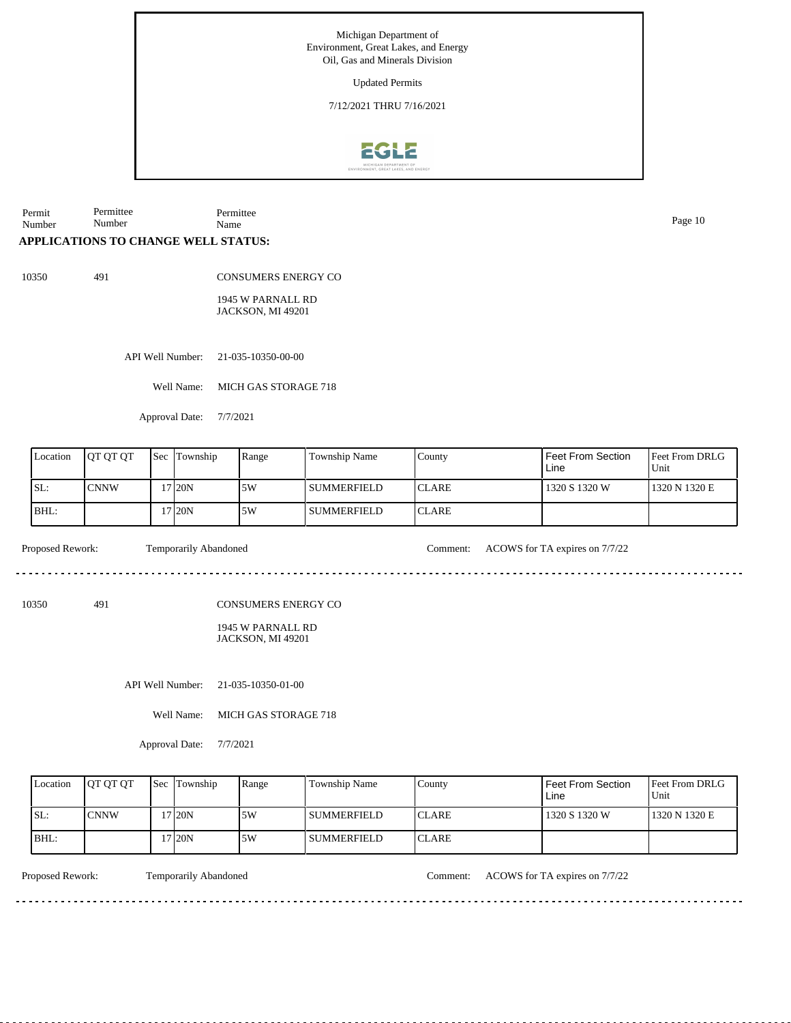Updated Permits

7/12/2021 THRU 7/16/2021



Permit Number Permittee Number Permittee Name Page 10

# **APPLICATIONS TO CHANGE WELL STATUS:**

10350 491

CONSUMERS ENERGY CO

1945 W PARNALL RD JACKSON, MI 49201

API Well Number: 21-035-10350-00-00

Well Name: MICH GAS STORAGE 718

Approval Date: 7/7/2021

| Location | <b>IOT OT OT</b> | <b>Sec Township</b> | Range | <b>Township Name</b> | County        | I Feet From Section<br>Line | <b>Feet From DRLG</b><br>l Unit |
|----------|------------------|---------------------|-------|----------------------|---------------|-----------------------------|---------------------------------|
| SL:      | <b>CNNW</b>      | 17120N              | 5W    | <b>SUMMERFIELD</b>   | <b>ICLARE</b> | 1320 S 1320 W               | 1320 N 1320 E                   |
| BHL:     |                  | 17 20N              | 5W    | l summerfield        | <b>ICLARE</b> |                             |                                 |

Proposed Rework: Temporarily Abandoned Comment: ACOWS for TA expires on 7/7/22

<u>eeseseses</u>e

10350 491

CONSUMERS ENERGY CO

1945 W PARNALL RD JACKSON, MI 49201

API Well Number: 21-035-10350-01-00

Well Name: MICH GAS STORAGE 718

Approval Date: 7/7/2021

| Location | <b>IOT OT OT</b> | <b>Sec Township</b> | Range | Township Name | County        | l Feet From Section<br>Line | <b>Feet From DRLG</b><br>l Unit |
|----------|------------------|---------------------|-------|---------------|---------------|-----------------------------|---------------------------------|
| SL:      | <b>CNNW</b>      | '7120N              | .5W   | I SUMMERFIELD | <b>ICLARE</b> | 1320 S 1320 W               | 1320 N 1320 E                   |
| BHL:     |                  | 17 20N              | 5W    | l summerfield | <b>ICLARE</b> |                             |                                 |

Proposed Rework: Temporarily Abandoned Comment: ACOWS for TA expires on  $7/7/22$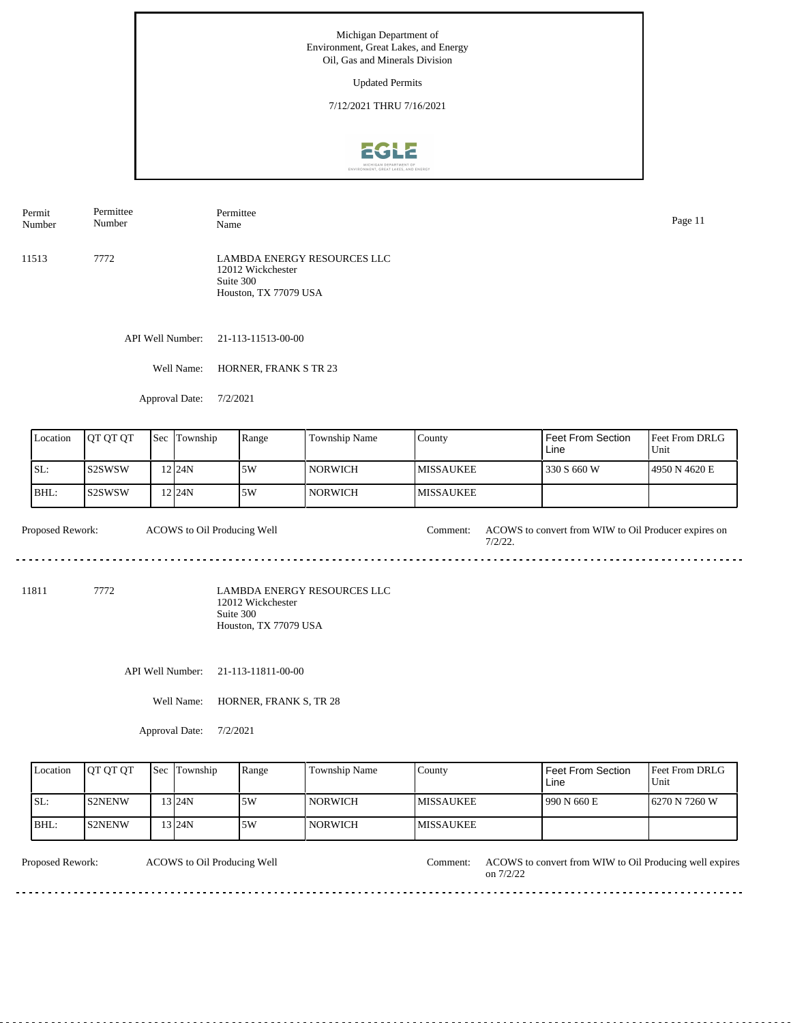Updated Permits

7/12/2021 THRU 7/16/2021



Permit Number Permittee Number Permittee Name Page 11

11513 7772 LAMBDA ENERGY RESOURCES LLC 12012 Wickchester Suite 300 Houston, TX 77079 USA

API Well Number: 21-113-11513-00-00

Well Name: HORNER, FRANK S TR 23

Approval Date: 7/2/2021

| Location | <b>OT OT OT</b> | <b>Sec</b> | Township  | Range | Township Name  | County            | Feet From Section<br>Line | <b>Feet From DRLG</b><br>Unit |
|----------|-----------------|------------|-----------|-------|----------------|-------------------|---------------------------|-------------------------------|
| ISL:     | ls2SWSW         |            | 12 I 24 N | 5W    | <b>NORWICH</b> | <b>IMISSAUKEE</b> | 330 S 660 W               | 4950 N 4620 E                 |
| IBHL:    | ls2SWSW         |            | 12 I 24 N | 5W    | <b>NORWICH</b> | <b>IMISSAUKEE</b> |                           |                               |

Proposed Rework: ACOWS to Oil Producing Well Comment: ACOWS to convert from WIW to Oil Producer expires on 7/2/22. ACOWS to Oil Producing Well

11811 7772

LAMBDA ENERGY RESOURCES LLC 12012 Wickchester Suite 300 Houston, TX 77079 USA

API Well Number: 21-113-11811-00-00

Well Name: HORNER, FRANK S, TR 28

Approval Date: 7/2/2021

| Location | <b>OT OT OT</b> | Sec Township | Range | <b>Township Name</b> | County            | Feet From Section<br>Line | <b>Feet From DRLG</b><br>Unit |
|----------|-----------------|--------------|-------|----------------------|-------------------|---------------------------|-------------------------------|
| ISL:     | <b>IS2NENW</b>  | 13 24N       | 5W    | NORWICH              | <b>IMISSAUKEE</b> | 990 N 660 E               | 16270 N 7260 W                |
| BHL:     | <b>IS2NENW</b>  | 13 24N       | 5W    | NORWICH              | <b>IMISSAUKEE</b> |                           |                               |

Proposed Rework: ACOWS to Oil Producing Well Comment: ACOWS to convert from WIW to Oil Producing well expires ACOWS to Oil Producing Well on 7/2/22 . . . . . . . . . . . . . . . . .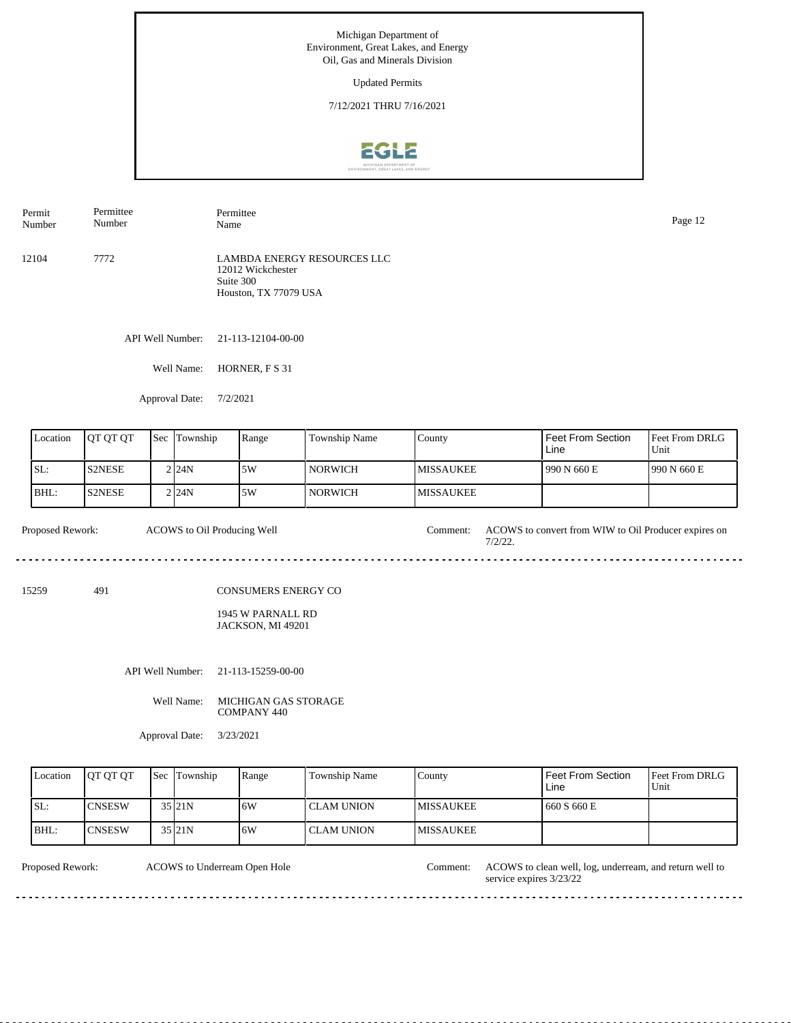Updated Permits

7/12/2021 THRU 7/16/2021



12104 7772 LAMBDA ENERGY RESOURCES LLC 12012 Wickchester Suite 300 Houston, TX 77079 USA Permit Number Permittee Number Permittee Name Page 12

API Well Number: 21-113-12104-00-00

Well Name: HORNER, F S 31

Approval Date: 7/2/2021

| Location | IOT OT OT     | <b>Sec</b> | Township | Range | Township Name  | County            | Feet From Section<br>Line | <b>Feet From DRLG</b><br>Unit |
|----------|---------------|------------|----------|-------|----------------|-------------------|---------------------------|-------------------------------|
| ISL:     | <b>S2NESE</b> |            | 2 24N    | 5W    | NORWICH        | <b>IMISSAUKEE</b> | 1990 N 660 E              | 1990 N 660 E                  |
| BHL:     | S2NESE        |            | 2124N    | 5W    | <b>NORWICH</b> | <b>IMISSAUKEE</b> |                           |                               |

Proposed Rework: ACOWS to Oil Producing Well Comment: ACOWS to convert from WIW to Oil Producer expires on ACOWS to Oil Producing Well 7/2/22. . . . . . . . . . . . . .

15259 491

CONSUMERS ENERGY CO

1945 W PARNALL RD JACKSON, MI 49201

API Well Number: 21-113-15259-00-00

Well Name: MICHIGAN GAS STORAGE COMPANY 440

Approval Date: 3/23/2021

| Location | <b>IOT OT OT</b> | <b>Sec Township</b> | Range | Township Name | County            | Feet From Section<br>Line | <b>IFeet From DRLG</b><br>l Unit |
|----------|------------------|---------------------|-------|---------------|-------------------|---------------------------|----------------------------------|
| ISL:     | <b>CNSESW</b>    | 35 21N              | 16W   | l CLAM UNION  | <b>IMISSAUKEE</b> | 660 S 660 E               |                                  |
| BHL:     | <b>CNSESW</b>    | 35 21N              | 16W   | l CLAM UNION  | <b>IMISSAUKEE</b> |                           |                                  |

ACOWS to Underream Open Hole

Proposed Rework: ACOWS to Underream Open Hole Comment: ACOWS to clean well, log, underream, and return well to service expires 3/23/22

<u>. . . . . . . . . . .</u>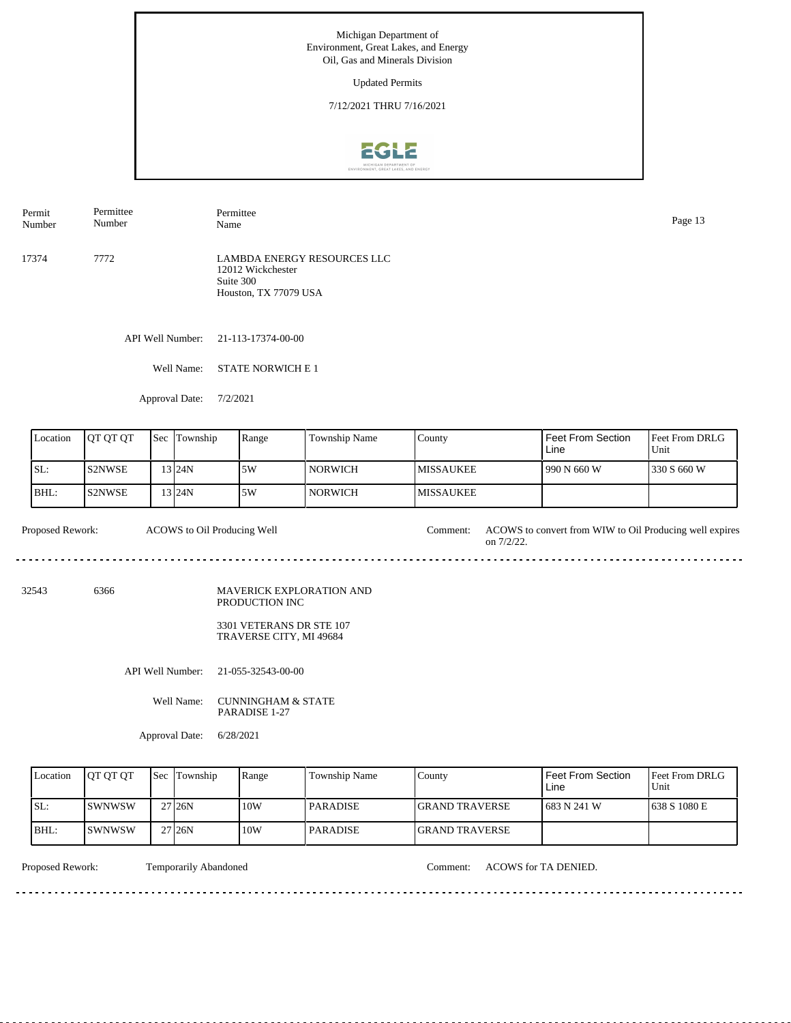Updated Permits

7/12/2021 THRU 7/16/2021



17374 7772 Permit Number Permittee Number Permittee Page 13<br>Name Page 13

LAMBDA ENERGY RESOURCES LLC 12012 Wickchester Suite 300 Houston, TX 77079 USA

API Well Number: 21-113-17374-00-00

Well Name: STATE NORWICH E 1

Approval Date: 7/2/2021

| Location | <b>OT OT OT</b> | <b>Sec Township</b> | Range | Township Name | Countv            | <b>Feet From Section</b><br>Line | <b>Feet From DRLG</b><br>Unit |
|----------|-----------------|---------------------|-------|---------------|-------------------|----------------------------------|-------------------------------|
| ISL:     | IS2NWSE         | 13 I 24 N           | 5W    | NORWICH       | <b>IMISSAUKEE</b> | 990 N 660 W                      | 1330 S 660 W                  |
| BHL:     | IS2NWSE         | 13 I24N             | 5W    | ' NORWICH     | <b>IMISSAUKEE</b> |                                  |                               |

Proposed Rework: ACOWS to Oil Producing Well Comment: ACOWS to convert from WIW to Oil Producing well expires on 7/2/22. ACOWS to Oil Producing Well

32543 6366

MAVERICK EXPLORATION AND PRODUCTION INC

> 3301 VETERANS DR STE 107 TRAVERSE CITY, MI 49684

API Well Number: 21-055-32543-00-00

Well Name: CUNNINGHAM & STATE PARADISE 1-27

Approval Date: 6/28/2021

| Location | <b>IOT OT OT</b> | <b>Sec</b> Township | Range | Township Name   | County                 | Feet From Section<br>Line | <b>IFeet From DRLG</b><br>Unit |
|----------|------------------|---------------------|-------|-----------------|------------------------|---------------------------|--------------------------------|
| ISL:     | ISWNWSW          | 27 <sub>126</sub> N | 10W   | <b>PARADISE</b> | <b>IGRAND TRAVERSE</b> | 1683 N 241 W              | 1638 S 1080 E                  |
| BHL:     | <b>SWNWSW</b>    | 27 <sub>126</sub> N | 10W   | <b>PARADISE</b> | <b>IGRAND TRAVERSE</b> |                           |                                |

Proposed Rework: Temporarily Abandoned Comment: ACOWS for TA DENIED.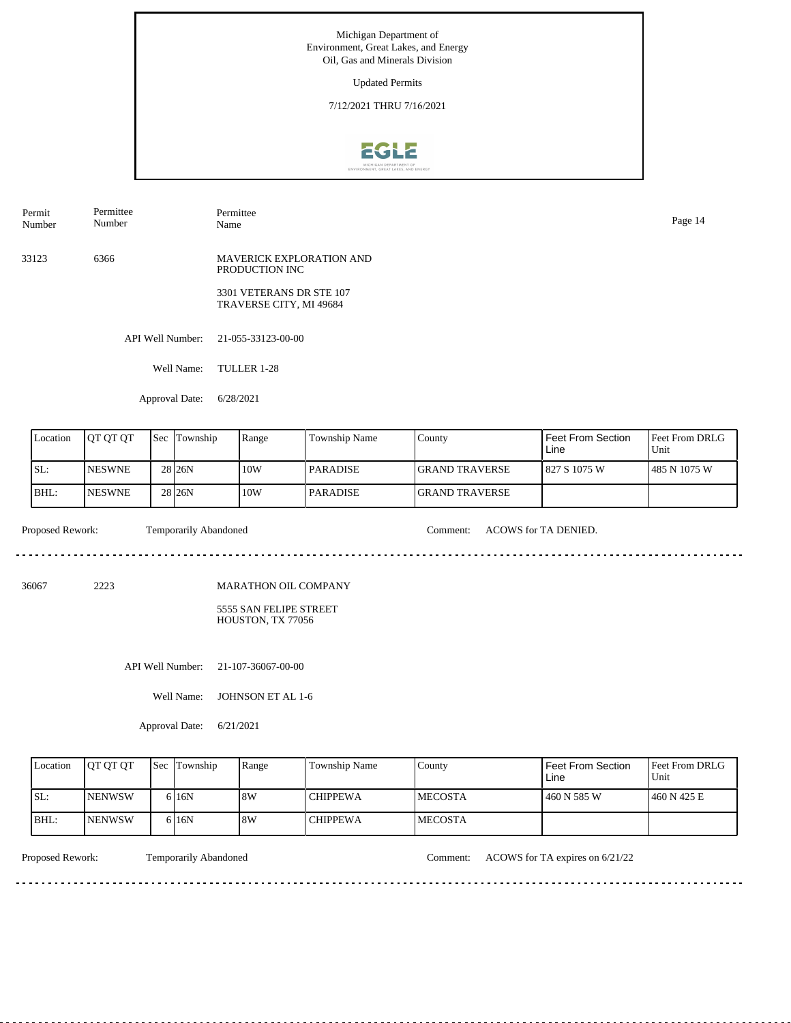Updated Permits

7/12/2021 THRU 7/16/2021



| Permit<br>Number | Permittee<br>Number | Permittee<br>Name                                   | Page 14 |
|------------------|---------------------|-----------------------------------------------------|---------|
| 33123            | 6366                | <b>MAVERICK EXPLORATION AND</b><br>PRODUCTION INC   |         |
|                  |                     | 3301 VETERANS DR STE 107<br>TRAVERSE CITY, MI 49684 |         |
|                  | API Well Number:    | 21-055-33123-00-00                                  |         |
|                  | Well Name:          | TULLER 1-28                                         |         |

Approval Date: 6/28/2021

| Location | <b>IOT OT OT</b> | <b>Sec</b> Township | Range | <b>Township Name</b> | County                 | Feet From Section<br>Line | <b>IFeet From DRLG</b><br>Unit |
|----------|------------------|---------------------|-------|----------------------|------------------------|---------------------------|--------------------------------|
| ISL:     | <b>INESWNE</b>   | 28 <sub>26N</sub>   | 10W   | <b>PARADISE</b>      | <b>IGRAND TRAVERSE</b> | 1827 S 1075 W             | 1485 N 1075 W                  |
| BHL:     | <b>INESWNE</b>   | 28 <sub>26N</sub>   | 10W   | <b>PARADISE</b>      | <b>IGRAND TRAVERSE</b> |                           |                                |

Proposed Rework: Temporarily Abandoned Comment: ACOWS for TA DENIED. <u>. . . . . . .</u>

<u>. . . . . . . . . . . . . . . . . .</u>

36067 2223

MARATHON OIL COMPANY

5555 SAN FELIPE STREET HOUSTON, TX 77056

API Well Number: 21-107-36067-00-00

Well Name: JOHNSON ET AL 1-6

Approval Date: 6/21/2021

| Location | <b>OT OT OT</b> | <b>Sec Township</b> | Range | Township Name   | County          | Feet From Section<br>Line | <b>Feet From DRLG</b><br>Unit |
|----------|-----------------|---------------------|-------|-----------------|-----------------|---------------------------|-------------------------------|
| SL:      | <b>INENWSW</b>  | 6 <sub>16</sub> N   | 8W    | <b>CHIPPEWA</b> | <b>IMECOSTA</b> | 460 N 585 W               | 1460 N 425 E                  |
| IBHL:    | <b>INENWSW</b>  | 6 16N               | 8W    | <b>CHIPPEWA</b> | <b>IMECOSTA</b> |                           |                               |

<u>. . . . . . . . .</u>

Proposed Rework: Temporarily Abandoned Comment: ACOWS for TA expires on 6/21/22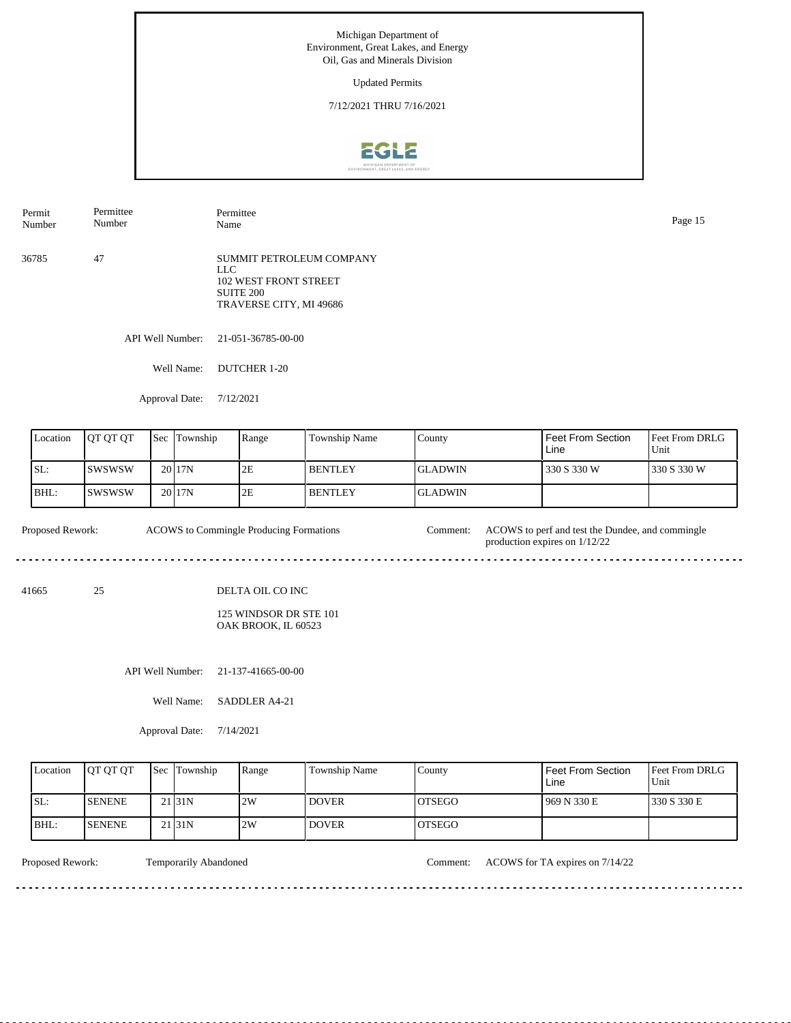Updated Permits

7/12/2021 THRU 7/16/2021



API Well Number: 21-051-36785-00-00 36785 47 SUMMIT PETROLEUM COMPANY LLC 102 WEST FRONT STREET SUITE 200 TRAVERSE CITY, MI 49686 Permit Number Permittee Number Permittee Name Page 15

Well Name: DUTCHER 1-20

Approval Date: 7/12/2021

| Location | <b>IOT OT OT</b> | <b>Sec Township</b> | Range | <b>Township Name</b> | County          | l Feet From Section<br>Line | <b>Feet From DRLG</b><br>l Unit |
|----------|------------------|---------------------|-------|----------------------|-----------------|-----------------------------|---------------------------------|
| ISL:     | Iswswsw          | 20 17N              | 2E    | <b>BENTLEY</b>       | <b>IGLADWIN</b> | 330 S 330 W                 | 1330 S 330 W                    |
| IBHL:    | Iswswsw          | 20 17N              | 2E    | <b>BENTLEY</b>       | <b>GLADWIN</b>  |                             |                                 |

ACOWS to Commingle Producing Formations Proposed Rework: ACOWS to Commingle Producing Formations Comment: ACOWS to perf and test the Dundee, and commingle production expires on 1/12/22 <u>. . . . . . . . . . .</u> 

41665 25

DELTA OIL CO INC

125 WINDSOR DR STE 101 OAK BROOK, IL 60523

API Well Number: 21-137-41665-00-00

Well Name: SADDLER A4-21

Approval Date: 7/14/2021

| Location | <b>IOT OT OT</b> | <b>Sec Township</b> | Range | Township Name | County         | Feet From Section<br>Line | <b>Feet From DRLG</b><br>Unit |
|----------|------------------|---------------------|-------|---------------|----------------|---------------------------|-------------------------------|
| SL:      | <b>SENENE</b>    | 21 <sub>31N</sub>   | 2W    | <b>DOVER</b>  | IOTSEGO        | 969 N 330 E               | 1330 S 330 E                  |
| BHL:     | <b>ISENENE</b>   | 21 <sub>31</sub> N  | 2W    | <b>DOVER</b>  | <b>IOTSEGO</b> |                           |                               |

<u>. . . . . . . .</u>

Proposed Rework: Temporarily Abandoned Comment: ACOWS for TA expires on  $7/14/22$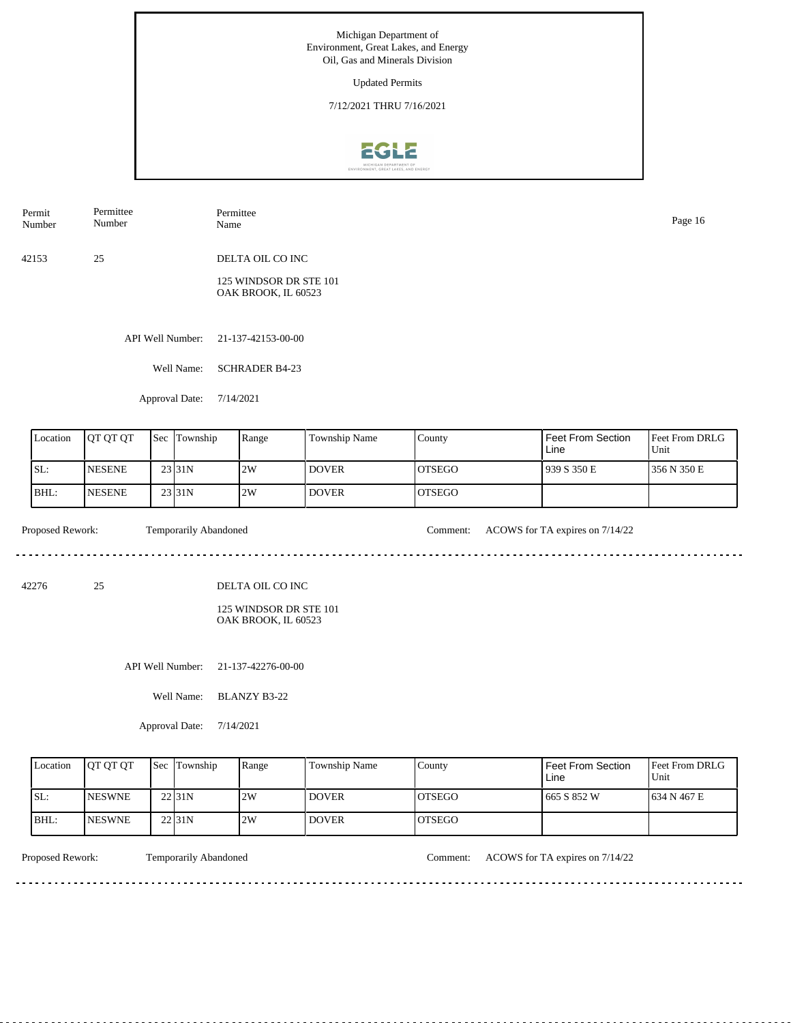Updated Permits

7/12/2021 THRU 7/16/2021



42153 25 DELTA OIL CO INC 125 WINDSOR DR STE 101 OAK BROOK, IL 60523 Permit Number Permittee Number Permittee Name Page 16

API Well Number: 21-137-42153-00-00

Well Name: SCHRADER B4-23

Approval Date: 7/14/2021

| Location | <b>OT OT OT</b> | <b>Sec</b> | Township            | Range | Township Name | County  | Feet From Section<br>Line | <b>Feet From DRLG</b><br>Unit |
|----------|-----------------|------------|---------------------|-------|---------------|---------|---------------------------|-------------------------------|
| ISL:     | <b>INESENE</b>  |            | 23 <sub>131</sub> N | 2W    | <b>DOVER</b>  | IOTSEGO | 1939 S 350 E              | 1356 N 350 E                  |
| BHL:     | <b>NESENE</b>   |            | 23 31N              | 2W    | <b>DOVER</b>  | IOTSEGO |                           |                               |

<u>. . . . . . . . . . . . . . . . .</u>

. . . . . . . .

Proposed Rework: Temporarily Abandoned Comment: ACOWS for TA expires on  $7/14/22$ 

<u>. . . . . . . . . . .</u>

42276 25

DELTA OIL CO INC

125 WINDSOR DR STE 101 OAK BROOK, IL 60523

API Well Number: 21-137-42276-00-00

Well Name: BLANZY B3-22

Approval Date: 7/14/2021

| Location | <b>IOT OT OT</b> | <b>Sec Township</b> | Range | <b>Township Name</b> | County         | Feet From Section<br>∟ine | <b>Feet From DRLG</b><br>Unit |
|----------|------------------|---------------------|-------|----------------------|----------------|---------------------------|-------------------------------|
| ISL:     | <b>INESWNE</b>   | 22 <sub>31N</sub>   | 2W    | <b>DOVER</b>         | IOTSEGO        | 665 S 852 W               | 1634 N 467 E                  |
| IBHL:    | <b>INESWNE</b>   | 22 <sub>31N</sub>   | 2W    | <b>DOVER</b>         | <b>IOTSEGO</b> |                           |                               |

<u>. . . . . . . .</u>

Proposed Rework: Temporarily Abandoned Comment: ACOWS for TA expires on  $7/14/22$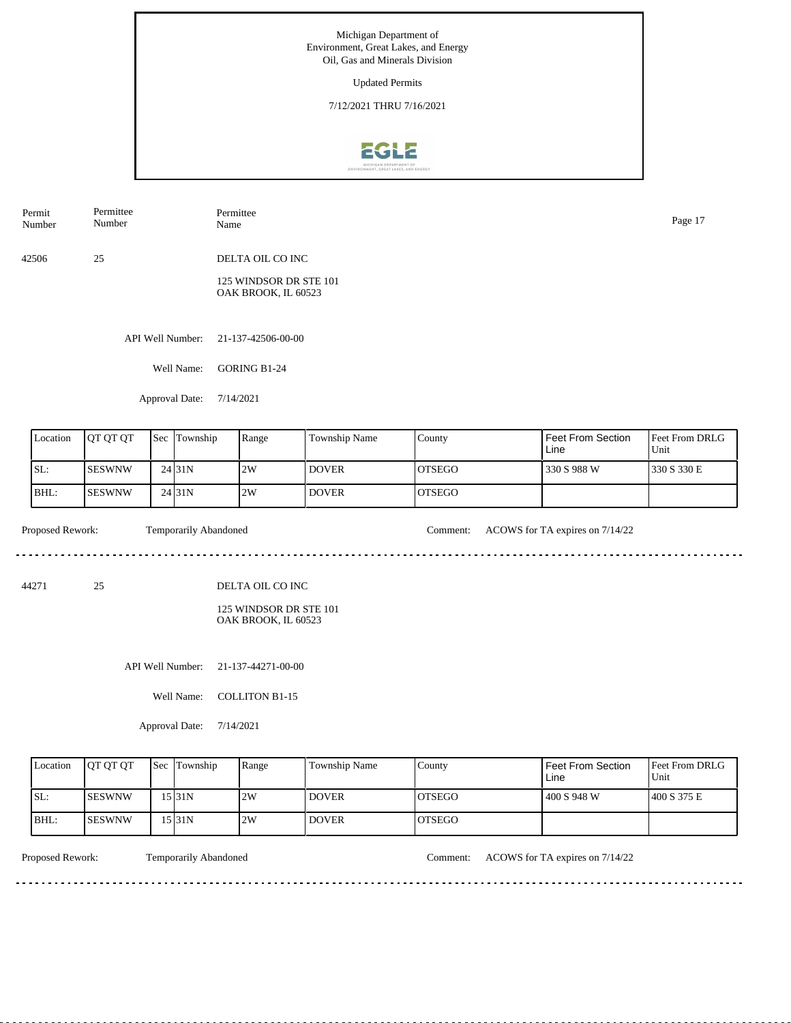Updated Permits

7/12/2021 THRU 7/16/2021



API Well Number: 21-137-42506-00-00 Well Name: GORING B1-24 42506 25 DELTA OIL CO INC 125 WINDSOR DR STE 101 OAK BROOK, IL 60523 Permit Number Permittee Number Permittee Name Page 17

Approval Date: 7/14/2021

| Location | <b>IOT OT OT</b> | <b>Sec Township</b> | Range | <b>Township Name</b> | County         | Feet From Section<br>Line | Feet From DRLG<br>Unit |
|----------|------------------|---------------------|-------|----------------------|----------------|---------------------------|------------------------|
| ISL:     | ISESWNW          | 24131N              | 2W    | <b>DOVER</b>         | <b>IOTSEGO</b> | 330 S 988 W               | 330 S 330 E            |
| BHL:     | ISESWNW          | 24 <sub>131</sub> N | 2W    | <b>DOVER</b>         | <b>IOTSEGO</b> |                           |                        |

. . . . . . . . . . . . . . . . . .

. . . . . . . .

Proposed Rework: Temporarily Abandoned Comment: ACOWS for TA expires on  $7/14/22$ 

<u>. . . . . . . . . . .</u>

44271 25

DELTA OIL CO INC

125 WINDSOR DR STE 101 OAK BROOK, IL 60523

API Well Number: 21-137-44271-00-00

Well Name: COLLITON B1-15

Approval Date: 7/14/2021

| Location | <b>IOT OT OT</b> | <b>Sec Township</b> | Range | Township Name | County         | Feet From Section<br>Line | <b>Feet From DRLG</b><br>Unit |
|----------|------------------|---------------------|-------|---------------|----------------|---------------------------|-------------------------------|
| SL:      | <b>ISESWNW</b>   | 15 31 N             | 2W    | <b>DOVER</b>  | IOTSEGO        | 400 S 948 W               | 1400 S 375 E                  |
| IBHL:    | <b>ISESWNW</b>   | 531N                | 2W    | <b>DOVER</b>  | <b>IOTSEGO</b> |                           |                               |

<u>. . . . . . . .</u>

Proposed Rework: Temporarily Abandoned Comment: ACOWS for TA expires on  $7/14/22$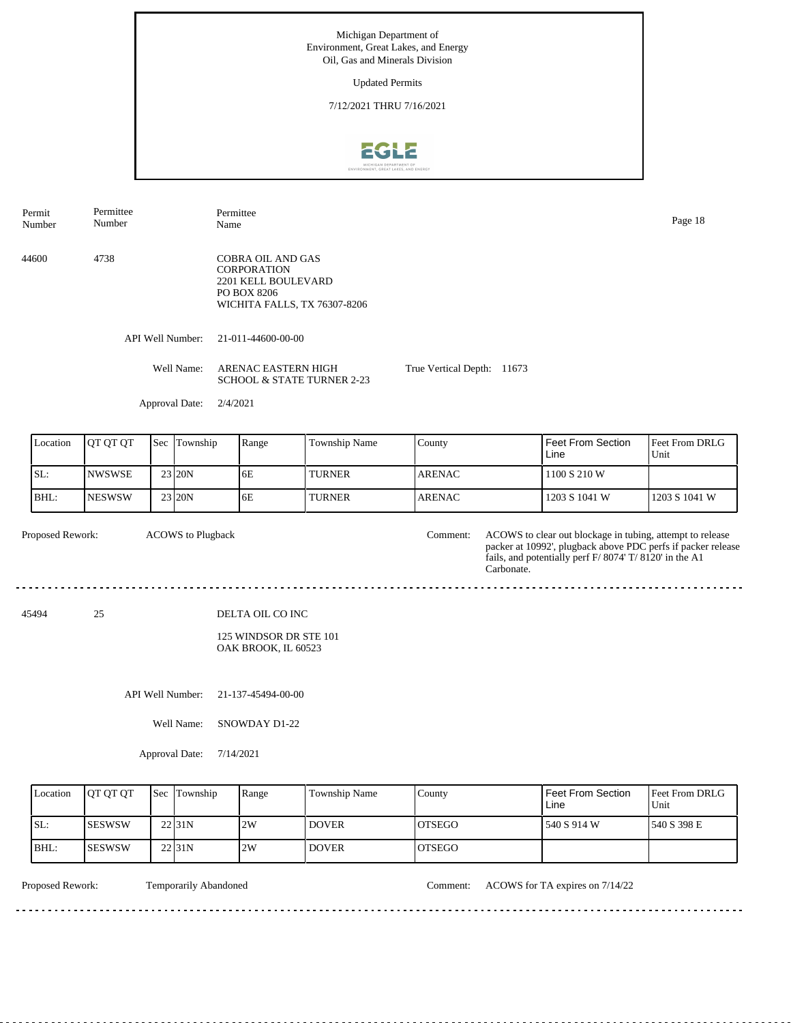Updated Permits

7/12/2021 THRU 7/16/2021



Permittee Permit Permittee Number Name Page 18 Number 44600 4738 COBRA OIL AND GAS **CORPORATION** 2201 KELL BOULEVARD PO BOX 8206 WICHITA FALLS, TX 76307-8206 API Well Number: 21-011-44600-00-00 Well Name: ARENAC EASTERN HIGH True Vertical Depth: 11673 SCHOOL & STATE TURNER 2-23 Approval Date: 2/4/2021 Feet From Section Location | QT QT QT | Sec | Township | Range | Township Name Township County Feet From DRLG Unit Line 1100 S 210 W SL: NWSWSE 23 20N 6E TURNER ARENAC BHL: NESWSW 23 20N 6E TURNER ARENAC 1203 S 1041 W 1203 S 1041 W Proposed Rework: ACOWS to Plugback Comment: ACOWS to clear out blockage in tubing, attempt to release ACOWS to Plugback Comment: packer at 10992', plugback above PDC perfs if packer release fails, and potentially perf F/ 8074' T/ 8120' in the A1 Carbonate. . . . . . . . . . . . 45494 25 DELTA OIL CO INC 125 WINDSOR DR STE 101 OAK BROOK, IL 60523 API Well Number: 21-137-45494-00-00 Well Name: SNOWDAY D1-22 Approval Date: 7/14/2021 Location | QT QT QT | Sec | Township | Range | Township Name Township County Feet From Section Feet From DRLG Unit Line SL: SESWSW 2W DOVER OTSEGO 540 S 914 W 540 S 398 E 22 31N BHL: SESWSW DOVER OTSEGO 22 31N 2W

. . . . . . . .

Proposed Rework: Temporarily Abandoned Comment: ACOWS for TA expires on 7/14/22

<u>. . . . . . . . . . . . . . . . .</u>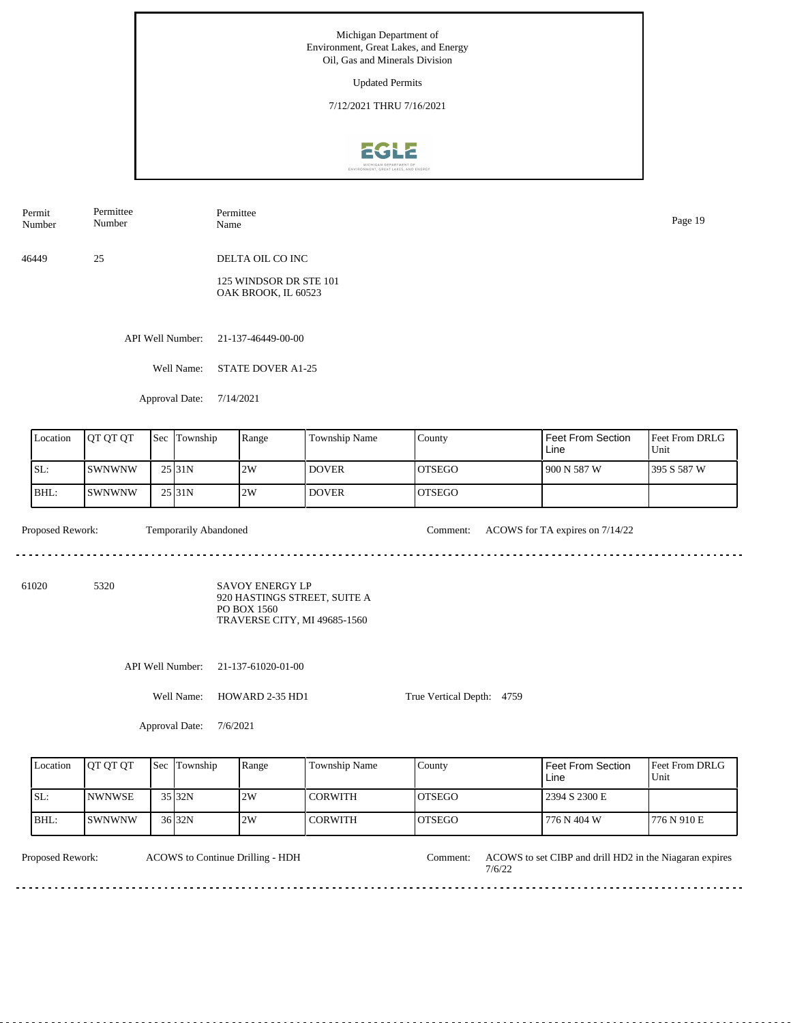Updated Permits

7/12/2021 THRU 7/16/2021



Permit Number Permittee Number Permittee

46449 25 DELTA OIL CO INC

> 125 WINDSOR DR STE 101 OAK BROOK, IL 60523

API Well Number: 21-137-46449-00-00

Well Name: STATE DOVER A1-25

Approval Date: 7/14/2021

| Location | <b>OT OT OT</b> | <b>Sec</b> | Township | Range | Township Name | County  | Feet From Section<br>Line | <b>Feet From DRLG</b><br>Unit |
|----------|-----------------|------------|----------|-------|---------------|---------|---------------------------|-------------------------------|
| SL:      | <b>ISWNWNW</b>  |            | 25 31 N  | 2W    | <b>DOVER</b>  | IOTSEGO | 1 900 N 587 W             | 1395 S 587 W                  |
| BHL:     | ISWNWNW         |            | 25 31N   | 2W    | <b>DOVER</b>  | IOTSEGO |                           |                               |

. . . . . . . .

Proposed Rework: Temporarily Abandoned Comment: ACOWS for TA expires on  $7/14/22$ 

61020 5320

SAVOY ENERGY LP 920 HASTINGS STREET, SUITE A PO BOX 1560 TRAVERSE CITY, MI 49685-1560

API Well Number: 21-137-61020-01-00

Well Name: HOWARD 2-35 HD1

Approval Date: 7/6/2021

| Location | <b>IOT OT OT</b>      | <b>Sec</b> Township | Range | <b>Township Name</b> | County         | Feet From Section<br>Line | <b>Feet From DRLG</b><br>Unit |
|----------|-----------------------|---------------------|-------|----------------------|----------------|---------------------------|-------------------------------|
| ISL:     | <b>INWNWSE</b>        | $35$ 32N            | 2W    | <b>CORWITH</b>       | IOTSEGO        | 2394 S 2300 E             |                               |
| IBHL:    | <i><b>ISWNWNW</b></i> | 36 32N              | 2W    | <b>CORWITH</b>       | <b>IOTSEGO</b> | 776 N 404 W               | 776 N 910 E                   |

True Vertical Depth: 4759

ACOWS to Continue Drilling - HDH

Proposed Rework: ACOWS to set CIBP and drill HD2 in the Niagaran expires 7/6/22 Comment:

Name Page 19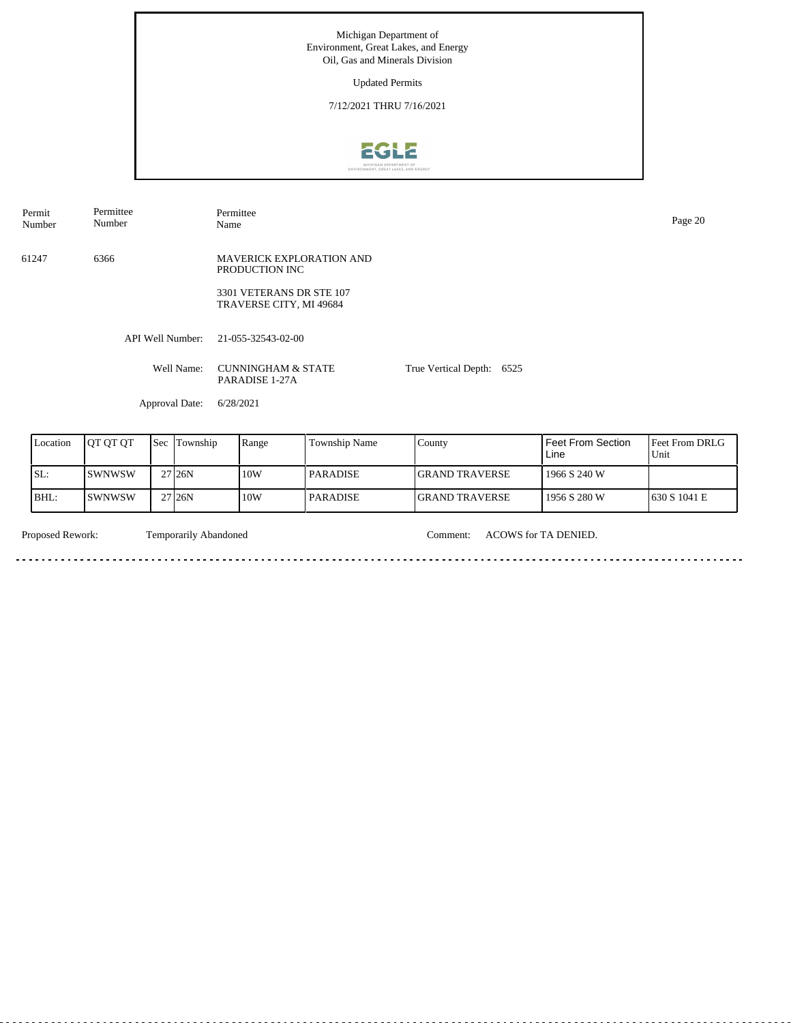Updated Permits

7/12/2021 THRU 7/16/2021



Permit Number Permittee Number

Permittee Name Page 20

61247 6366 MAVERICK EXPLORATION AND PRODUCTION INC

> 3301 VETERANS DR STE 107 TRAVERSE CITY, MI 49684

API Well Number: 21-055-32543-02-00

Well Name: CUNNINGHAM & STATE PARADISE 1-27A

True Vertical Depth: 6525

Approval Date: 6/28/2021

| Location | <b>JOT OT OT</b> | 'Sec | Township            | Range | <b>Township Name</b> | County                 | Feet From Section<br>Line | <b>IFeet From DRLG</b><br>Unit |
|----------|------------------|------|---------------------|-------|----------------------|------------------------|---------------------------|--------------------------------|
| SL:      | ISWNWSW          |      | 27 <sub>126</sub> N | 10W   | l PARADISE           | <b>IGRAND TRAVERSE</b> | 1966 S 240 W              |                                |
| BHL:     | ISWNWSW          |      | 27 <sub>126</sub> N | 10W   | <b>PARADISE</b>      | <b>IGRAND TRAVERSE</b> | 1956 S 280 W              | 1630 S 1041 E                  |

a a

Temporarily Abandoned

Proposed Rework: Temporarily Abandoned Comment: ACOWS for TA DENIED.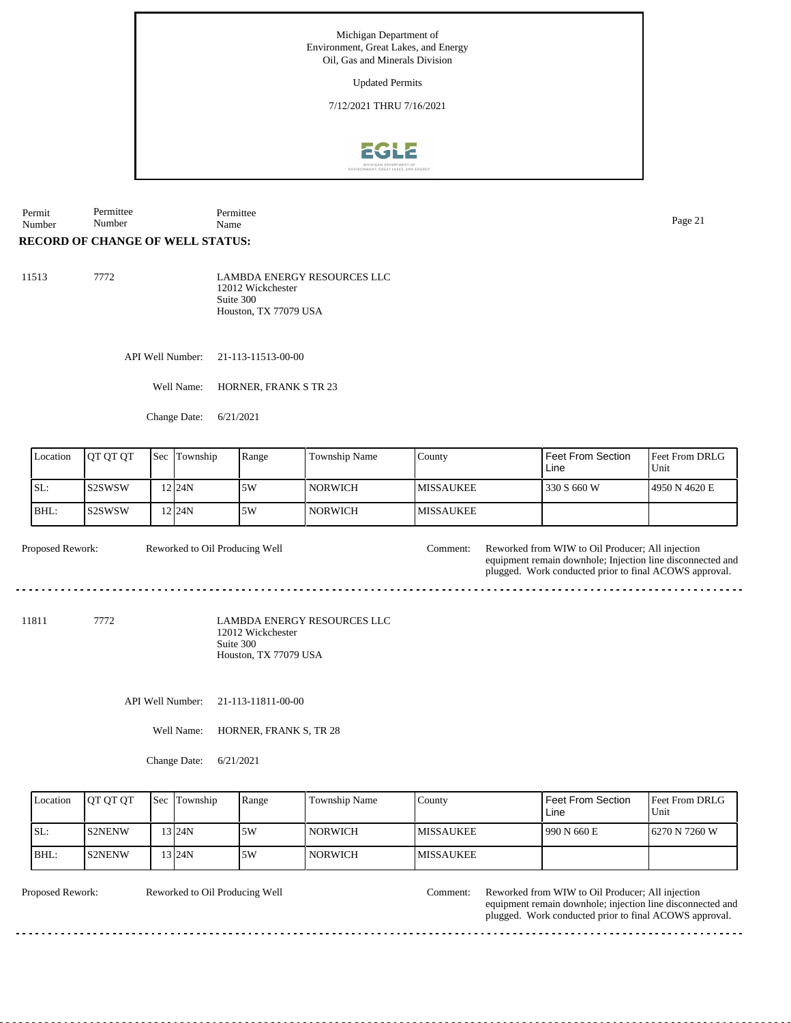Updated Permits

7/12/2021 THRU 7/16/2021



Permit Number Permittee Number Permittee Name Page 21

## **RECORD OF CHANGE OF WELL STATUS:**

| 11513 | 7772. | <b>LAMBDA ENERGY RESOURCES LLC</b> |
|-------|-------|------------------------------------|
|       |       | 12012 Wickchester<br>Suite 300     |
|       |       | Houston. TX 77079 USA              |

API Well Number: 21-113-11513-00-00

Well Name: HORNER, FRANK S TR 23

Change Date: 6/21/2021

| Location | <b>JOT OT OT</b> | <b>Sec</b> | Township  | Range | Township Name | County            | Feet From Section<br>Line | <b>Feet From DRLG</b><br>Unit |
|----------|------------------|------------|-----------|-------|---------------|-------------------|---------------------------|-------------------------------|
| SL:      | IS2SWSW          |            | '2 $124N$ | 5W    | NORWICH       | <b>IMISSAUKEE</b> | 330 S 660 W               | 4950 N 4620 E                 |
| IBHL:    | IS2SWSW          |            | 12 I 24 N | 5W    | NORWICH       | <b>MISSAUKEE</b>  |                           |                               |

Reworked to Oil Producing Well

Proposed Rework: Reworked to Oil Producing Well Comment: Reworked from WIW to Oil Producer; All injection equipment remain downhole; Injection line disconnected and plugged. Work conducted prior to final ACOWS approval.

11811 7772

LAMBDA ENERGY RESOURCES LLC 12012 Wickchester Suite 300 Houston, TX 77079 USA

API Well Number: 21-113-11811-00-00

Well Name: HORNER, FRANK S, TR 28

Change Date: 6/21/2021

| Location | <b>IOT OT OT</b> | <b>Sec</b> Township | Range | Township Name  | County            | <b>Feet From Section</b><br>Line | <b>Feet From DRLG</b><br>Unit |
|----------|------------------|---------------------|-------|----------------|-------------------|----------------------------------|-------------------------------|
| ISL:     | <b>IS2NENW</b>   | 13124N              | 15W   | <b>NORWICH</b> | <b>IMISSAUKEE</b> | 1990 N 660 E                     | 16270 N 7260 W                |
| BHL:     | <b>S2NENW</b>    | 13124N              | 15W   | <b>NORWICH</b> | <b>IMISSAUKEE</b> |                                  |                               |

Reworked to Oil Producing Well

Proposed Rework: Reworked to Oil Producing Well Comment: Reworked from WIW to Oil Producer; All injection equipment remain downhole; injection line disconnected and plugged. Work conducted prior to final ACOWS approval.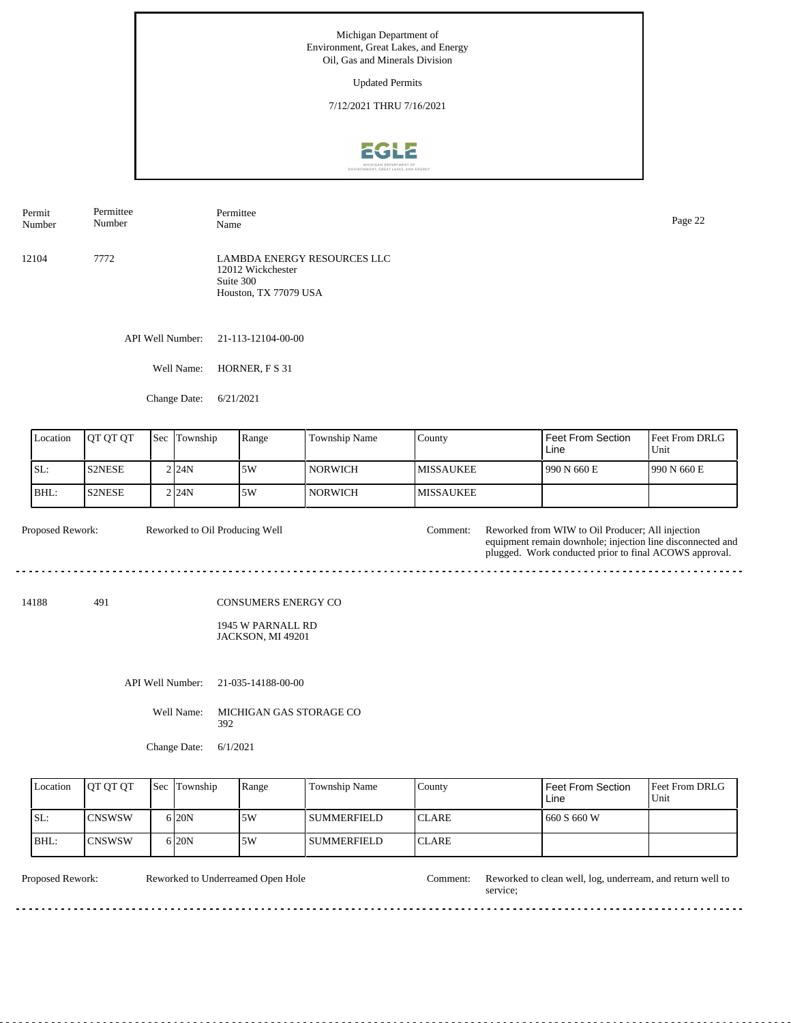Updated Permits

7/12/2021 THRU 7/16/2021



API Well Number: 21-113-12104-00-00 12104 7772 LAMBDA ENERGY RESOURCES LLC 12012 Wickchester Suite 300 Houston, TX 77079 USA Permit Number Permittee Number Permittee Page 22<br>Name Page 22

Well Name: HORNER, F S 31

Change Date: 6/21/2021

| Location | <b>IOT OT OT</b> | Sec | Township | Range | <b>Township Name</b> | Countv            | l Feet From Section<br>Line | <b>Feet From DRLG</b><br>Unit |
|----------|------------------|-----|----------|-------|----------------------|-------------------|-----------------------------|-------------------------------|
| SL:      | <b>S2NESE</b>    |     | 2124N    | 5W    | NORWICH              | IMISSAUKEE        | 1990 N 660 E                | 1990 N 660 E                  |
| BHL:     | <b>IS2NESE</b>   |     | 2124N    | 5W    | NORWICH              | <b>IMISSAUKEE</b> |                             |                               |

| Proposed Rework: | Reworked to Oil Producing Well | Comment: ! | Reworked from WIW to Oil Producer; All injection           |
|------------------|--------------------------------|------------|------------------------------------------------------------|
|                  |                                |            | equipment remain downhole; injection line disconnected and |
|                  |                                |            | plugged. Work conducted prior to final ACOWS approval.     |

14188 491

CONSUMERS ENERGY CO

1945 W PARNALL RD JACKSON, MI 49201

API Well Number: 21-035-14188-00-00

Well Name: MICHIGAN GAS STORAGE CO 392

Change Date: 6/1/2021

| Location | <b>OT OT OT</b> | <b>Sec</b> Township | Range | <b>Township Name</b> | County        | Feet From Section<br>Line | <b>IFeet From DRLG</b><br>Unit |
|----------|-----------------|---------------------|-------|----------------------|---------------|---------------------------|--------------------------------|
| ISL:     | <b>ICNSWSW</b>  | 6 20N               | .5W   | l summerfield-       | <b>ICLARE</b> | 1 660 S 660 W             |                                |
| BHL:     | <b>ICNSWSW</b>  | 6 <sub>20N</sub>    | 5W    | l summerfield        | <b>ICLARE</b> |                           |                                |

 $\frac{1}{2}$ 

 $\cdots$ 

 $- - - -$ 

. . . . . .

Reworked to Underreamed Open Hole

Proposed Rework: Reworked to Underreamed Open Hole Comment: Reworked to clean well, log, underream, and return well to service;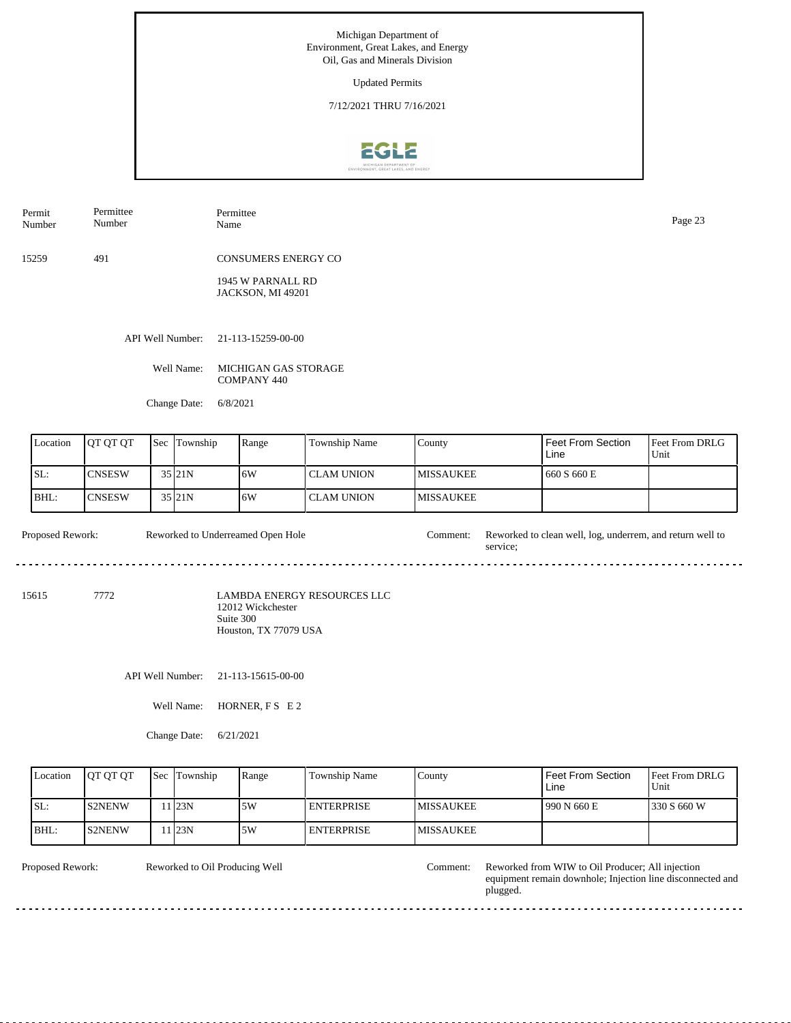Updated Permits

7/12/2021 THRU 7/16/2021



Permit Number Permittee Number

Permittee Page 23<br>Name Page 23

15259 491 CONSUMERS ENERGY CO

> 1945 W PARNALL RD JACKSON, MI 49201

API Well Number: 21-113-15259-00-00

Well Name: MICHIGAN GAS STORAGE COMPANY 440

Change Date: 6/8/2021

| Location | <b>IOT OT OT</b> | 'Sec | Township            | Range | Township Name | County            | <b>Feet From Section</b><br>Line | <b>Feet From DRLG</b><br>Unit |
|----------|------------------|------|---------------------|-------|---------------|-------------------|----------------------------------|-------------------------------|
| SL:      | ICNSESW          |      | $35$ <sub>21N</sub> | 16W   | I CLAM UNION  | <b>IMISSAUKEE</b> | 660 S 660 E                      |                               |
| BHL:     | ICNSESW          |      | $35$ <sub>21N</sub> | 16W   | l CLAM UNION  | <b>IMISSAUKEE</b> |                                  |                               |

Proposed Rework: Reworked to clean well, log, underrem, and return well to service; Reworked to Underreamed Open Hole

15615 7772

LAMBDA ENERGY RESOURCES LLC 12012 Wickchester Suite 300 Houston, TX 77079 USA

API Well Number: 21-113-15615-00-00

Well Name: HORNER, F S E 2

Change Date: 6/21/2021

| Location | <b>OT OT OT</b> | <b>Sec</b> Township | Range | Township Name     | County            | <b>Feet From Section</b><br>Line | <b>IFeet From DRLG</b><br>Unit |
|----------|-----------------|---------------------|-------|-------------------|-------------------|----------------------------------|--------------------------------|
| ISL:     | IS2NENW         | 1 23N               | 15W   | <b>ENTERPRISE</b> | <b>IMISSAUKEE</b> | 990 N 660 E                      | 330 S 660 W                    |
| BHL:     | <b>S2NENW</b>   | 1 23N               | 5W    | <b>ENTERPRISE</b> | <b>IMISSAUKEE</b> |                                  |                                |

Reworked to Oil Producing Well

Proposed Rework: Reworked to Oil Producing Well Comment: Reworked from WIW to Oil Producer; All injection equipment remain downhole; Injection line disconnected and plugged.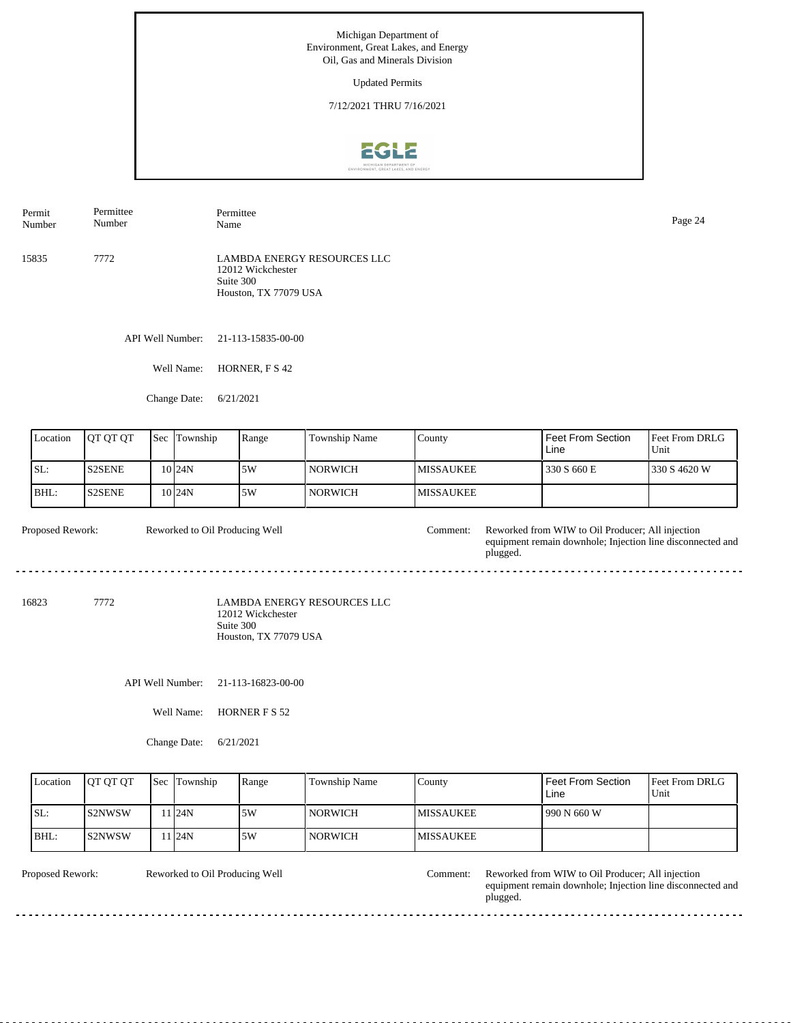Updated Permits

7/12/2021 THRU 7/16/2021



API Well Number: 21-113-15835-00-00 15835 7772 LAMBDA ENERGY RESOURCES LLC 12012 Wickchester Suite 300 Houston, TX 77079 USA Permit Number Permittee Number Permittee Name Page 24

Well Name: HORNER, F S 42

Change Date: 6/21/2021

| Location | IQT QT QT      | <b>Sec</b> | Township            | Range | Township Name  | County            | l Feet From Section<br>Line | <b>Feet From DRLG</b><br>Unit |
|----------|----------------|------------|---------------------|-------|----------------|-------------------|-----------------------------|-------------------------------|
| SL:      | <b>IS2SENE</b> |            | 10 I24N             | 5W    | <b>NORWICH</b> | IMISSAUKEE        | 330 S 660 E                 | 330 S 4620 W                  |
| BHL:     | <b>S2SENE</b>  |            | $10$ <sub>24N</sub> | 5W    | <b>NORWICH</b> | <b>IMISSAUKEE</b> |                             |                               |

| <b>Proposed Rework:</b> | Reworked to Oil Producing Well | :\omment: | Reworked from WIW to Oil Producer: All injection                       |
|-------------------------|--------------------------------|-----------|------------------------------------------------------------------------|
|                         |                                |           | equipment remain downhole; Injection line disconnected and<br>plugged. |
|                         |                                |           |                                                                        |

<u> - - - - - - - - -</u>

16823 7772

LAMBDA ENERGY RESOURCES LLC 12012 Wickchester Suite 300 Houston, TX 77079 USA

API Well Number: 21-113-16823-00-00

Well Name: HORNER F S 52

Change Date: 6/21/2021

| Location | <b>IOT OT OT</b> | <b>Sec Township</b> | Range | Township Name  | County            | <b>Feet From Section</b><br>Line | <b>Feet From DRLG</b><br>Unit |
|----------|------------------|---------------------|-------|----------------|-------------------|----------------------------------|-------------------------------|
| ISL:     | IS2NWSW          | 1 24N               | 15W   | <b>NORWICH</b> | <b>IMISSAUKEE</b> | 990 N 660 W                      |                               |
| BHL:     | IS2NWSW          | 1 24N               | .5W   | <b>NORWICH</b> | <b>IMISSAUKEE</b> |                                  |                               |

Reworked to Oil Producing Well

 $- - -$ 

 $- - - - - -$ 

Proposed Rework: Reworked to Oil Producing Well Comment: Reworked from WIW to Oil Producer; All injection equipment remain downhole; Injection line disconnected and plugged.

 $- - -$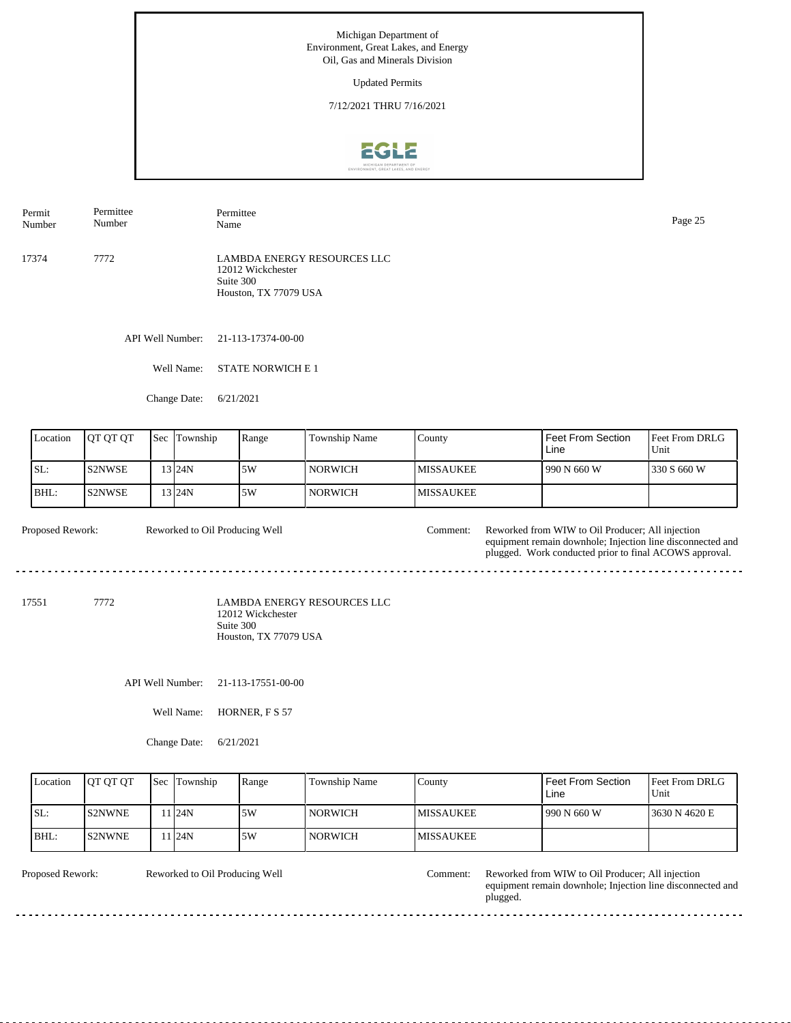Updated Permits

7/12/2021 THRU 7/16/2021



17374 7772 LAMBDA ENERGY RESOURCES LLC 12012 Wickchester Suite 300 Houston, TX 77079 USA Permit Number Permittee Number Permittee Name Page 25

API Well Number: 21-113-17374-00-00

Well Name: STATE NORWICH E 1

Change Date: 6/21/2021

| Location         | OT OT OT | Sec | Township         | Range                                                   | Township Name                      | County           | <b>Feet From Section</b><br>Line                                                                                                                                         | Feet From DRLG<br>Unit |
|------------------|----------|-----|------------------|---------------------------------------------------------|------------------------------------|------------------|--------------------------------------------------------------------------------------------------------------------------------------------------------------------------|------------------------|
| SL:              | S2NWSE   |     | 13 24N           | 5W                                                      | <b>NORWICH</b>                     | <b>MISSAUKEE</b> | 990 N 660 W                                                                                                                                                              | 330 S 660 W            |
| BHL:             | S2NWSE   |     | 13 24N           | 5W                                                      | <b>NORWICH</b>                     | <b>MISSAUKEE</b> |                                                                                                                                                                          |                        |
| Proposed Rework: |          |     |                  | Reworked to Oil Producing Well                          |                                    | Comment:         | Reworked from WIW to Oil Producer; All injection<br>equipment remain downhole; Injection line disconnected and<br>plugged. Work conducted prior to final ACOWS approval. |                        |
| 17551            | 7772     |     |                  | 12012 Wickchester<br>Suite 300<br>Houston, TX 77079 USA | <b>LAMBDA ENERGY RESOURCES LLC</b> |                  |                                                                                                                                                                          |                        |
|                  |          |     | API Well Number: | 21-113-17551-00-00                                      |                                    |                  |                                                                                                                                                                          |                        |
|                  |          |     | Well Name:       | HORNER, F S 57                                          |                                    |                  |                                                                                                                                                                          |                        |

Change Date: 6/21/2021

| Location | <b>IOT OT OT</b> | <b>Sec</b> Township | Range | Township Name  | County            | Feet From Section<br>Line | Feet From DRLG<br>Unit |
|----------|------------------|---------------------|-------|----------------|-------------------|---------------------------|------------------------|
| SL:      | <b>S2NWNE</b>    | 1 24N               | .5W   | <b>NORWICH</b> | IMISSAUKEE        | 990 N 660 W               | 13630 N 4620 E         |
| BHL:     | IS2NWNE          | 1 24N               | .5W   | <b>NORWICH</b> | <b>IMISSAUKEE</b> |                           |                        |

 $\overline{a}$ 

Reworked to Oil Producing Well

 $\sim$   $\sim$ 

 $\overline{a}$ 

Proposed Rework: Reworked to Oil Producing Well Comment: Reworked from WIW to Oil Producer; All injection equipment remain downhole; Injection line disconnected and plugged.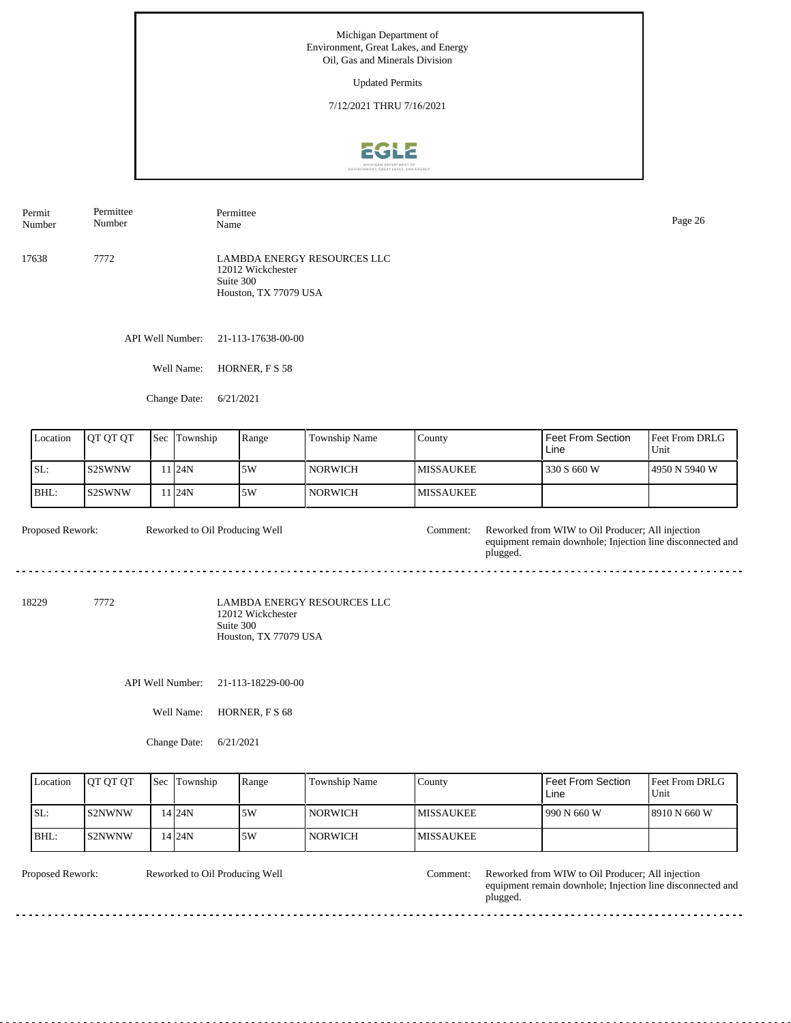Updated Permits

7/12/2021 THRU 7/16/2021



API Well Number: 21-113-17638-00-00 17638 7772 LAMBDA ENERGY RESOURCES LLC 12012 Wickchester Suite 300 Houston, TX 77079 USA Permit Number Permittee Number Permittee Name Page 26

Well Name: HORNER, F S 58

Change Date: 6/21/2021

| Location | OT OT OT | 'Sec | Township         | Range | Township Name | County            | l Feet From Section<br>Line | <b>Feet From DRLG</b><br>Unit |
|----------|----------|------|------------------|-------|---------------|-------------------|-----------------------------|-------------------------------|
| SL:      | IS2SWNW  |      | 1 24N            | 5W    | NORWICH       | <b>IMISSAUKEE</b> | 330 S 660 W                 | 14950 N 5940 W                |
| BHL:     | IS2SWNW  |      | 1 <sub>24N</sub> | 5W    | NORWICH       | <b>IMISSAUKEE</b> |                             |                               |

| <b>Proposed Rework:</b> | Reworked to Oil Producing Well | `omment: | Reworked from WIW to Oil Producer: All injection                       |
|-------------------------|--------------------------------|----------|------------------------------------------------------------------------|
|                         |                                |          | equipment remain downhole; Injection line disconnected and<br>plugged. |
|                         |                                |          |                                                                        |

<u>. . . . . . . .</u>

18229 7772

LAMBDA ENERGY RESOURCES LLC 12012 Wickchester Suite 300 Houston, TX 77079 USA

API Well Number: 21-113-18229-00-00

Well Name: HORNER, F S 68

Change Date: 6/21/2021

| Location | <b>IOT OT OT</b> | <b>Sec</b> Township | Range | Township Name  | County            | <b>Feet From Section</b><br>Line | <b>Feet From DRLG</b><br>Unit |
|----------|------------------|---------------------|-------|----------------|-------------------|----------------------------------|-------------------------------|
| ISL:     | IS2NWNW          | 14 24 N             | 15W   | <b>NORWICH</b> | <b>IMISSAUKEE</b> | 990 N 660 W                      | 18910 N 660 W                 |
| BHL:     | IS2NWNW          | 14 24N              | 15W   | <b>NORWICH</b> | <b>IMISSAUKEE</b> |                                  |                               |

Reworked to Oil Producing Well

 $- - - - - -$ 

Proposed Rework: Reworked to Oil Producing Well Comment: Reworked from WIW to Oil Producer; All injection equipment remain downhole; Injection line disconnected and plugged.

 $- - -$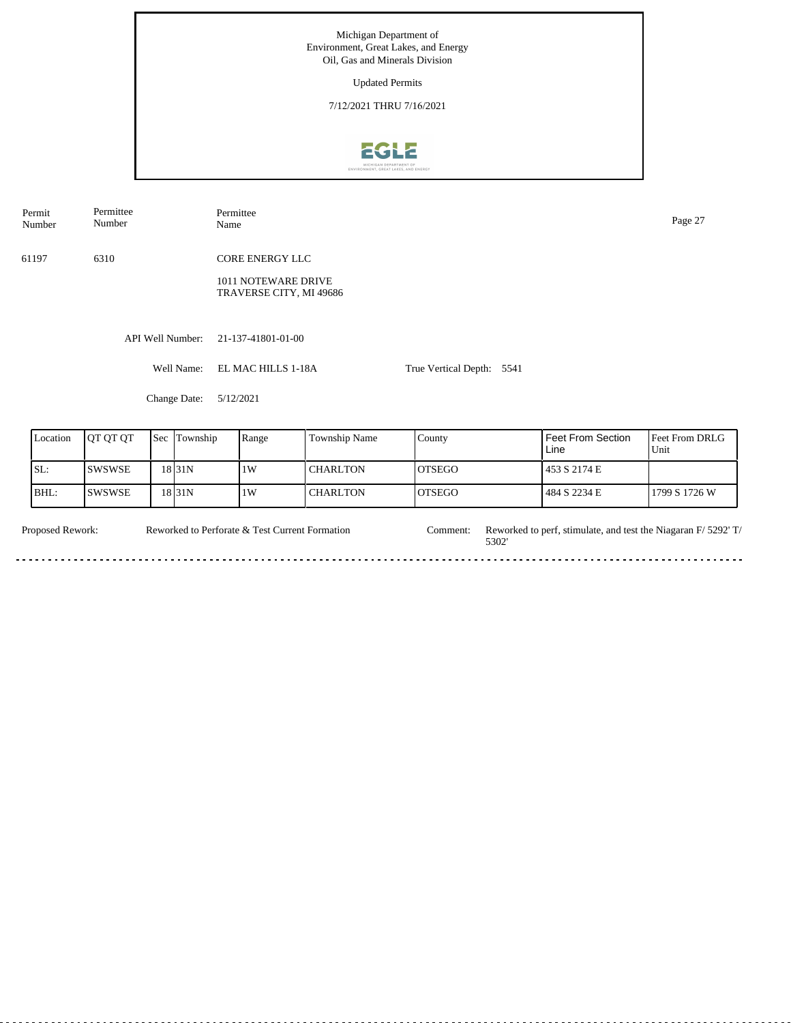Updated Permits

7/12/2021 THRU 7/16/2021



API Well Number: 21-137-41801-01-00 Well Name: EL MAC HILLS 1-18A Change Date: 5/12/2021 True Vertical Depth: 5541 61197 6310 Feet From DRLG Feet From Section County Location | QT QT QT | Sec | Township | Range | Township Name Sec Township Range CORE ENERGY LLC 1011 NOTEWARE DRIVE TRAVERSE CITY, MI 49686 Permit Number Permittee Number Permittee Name Page 27

| Location | <b>IOT OT OT</b> | <b>Sec Township</b> | Range | <b>Township Name</b> | County         | <b>Feet From Section</b><br>Line | <b>Feet From DRLG</b><br>Unit |
|----------|------------------|---------------------|-------|----------------------|----------------|----------------------------------|-------------------------------|
| SL:      | <b>ISWSWSE</b>   | 18 I 31 N           | 1W    | I CHARLTON           | IOTSEGO        | 453 S 2174 E                     |                               |
| BHL:     | ISWSWSE          | 18 I 31 N           | 1W    | I CHARLTON           | <b>IOTSEGO</b> | 484 S 2234 E                     | 1799 S 1726 W                 |

Proposed Rework: Reworked to Perforate & Test Current Formation Comment: Reworked to perf, stimulate, and test the Niagaran F/ 5292' T/ Reworked to Perforate & Test Current Formation Comment: 5302'